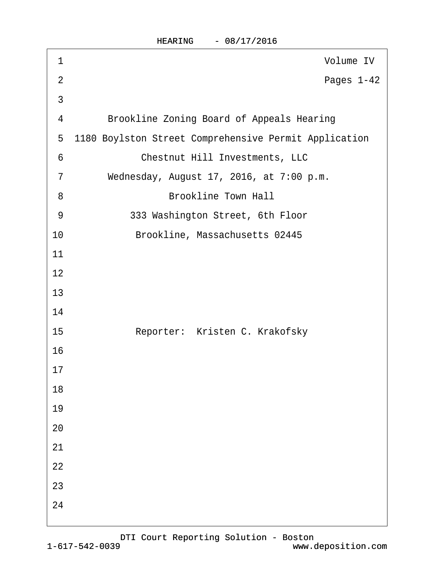| 1               | Volume IV                                             |
|-----------------|-------------------------------------------------------|
| $\overline{2}$  | Pages 1-42                                            |
| $\mathfrak{S}$  |                                                       |
| 4               | <b>Brookline Zoning Board of Appeals Hearing</b>      |
| $5\overline{)}$ | 1180 Boylston Street Comprehensive Permit Application |
| 6               | <b>Chestnut Hill Investments, LLC</b>                 |
| $\overline{7}$  | Wednesday, August 17, 2016, at 7:00 p.m.              |
| 8               | <b>Brookline Town Hall</b>                            |
| 9               | 333 Washington Street, 6th Floor                      |
| 10              | Brookline, Massachusetts 02445                        |
| 11              |                                                       |
| 12              |                                                       |
| 13              |                                                       |
| 14              |                                                       |
| 15              | Reporter: Kristen C. Krakofsky                        |
| 16              |                                                       |
| 17              |                                                       |
| 18              |                                                       |
| 19              |                                                       |
| 20              |                                                       |
| 21              |                                                       |
| 22              |                                                       |
| 23              |                                                       |
| 24              |                                                       |
|                 |                                                       |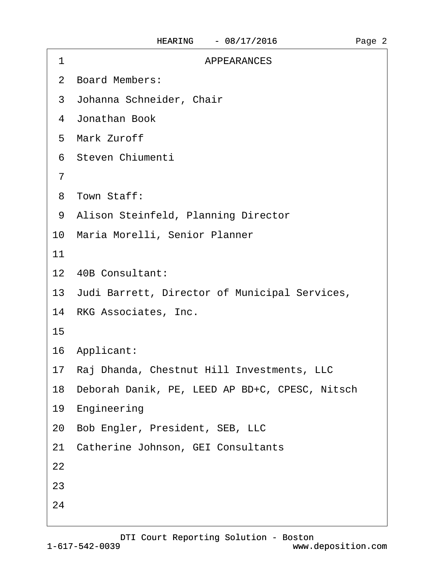| 1  | APPEARANCES                                       |
|----|---------------------------------------------------|
|    | 2 Board Members:                                  |
|    | 3 Johanna Schneider, Chair                        |
|    | 4 Jonathan Book                                   |
|    | 5 Mark Zuroff                                     |
|    | 6 Steven Chiumenti                                |
| 7  |                                                   |
|    | 8 Town Staff:                                     |
|    | 9 Alison Steinfeld, Planning Director             |
|    | 10 Maria Morelli, Senior Planner                  |
| 11 |                                                   |
|    | 12 40B Consultant:                                |
|    | 13 Judi Barrett, Director of Municipal Services,  |
|    | 14 RKG Associates, Inc.                           |
| 15 |                                                   |
|    | 16 Applicant:                                     |
|    | 17 Raj Dhanda, Chestnut Hill Investments, LLC     |
|    | 18 Deborah Danik, PE, LEED AP BD+C, CPESC, Nitsch |
|    | 19 Engineering                                    |
|    | 20 Bob Engler, President, SEB, LLC                |
|    | 21 Catherine Johnson, GEI Consultants             |
| 22 |                                                   |
| 23 |                                                   |
| 24 |                                                   |
|    |                                                   |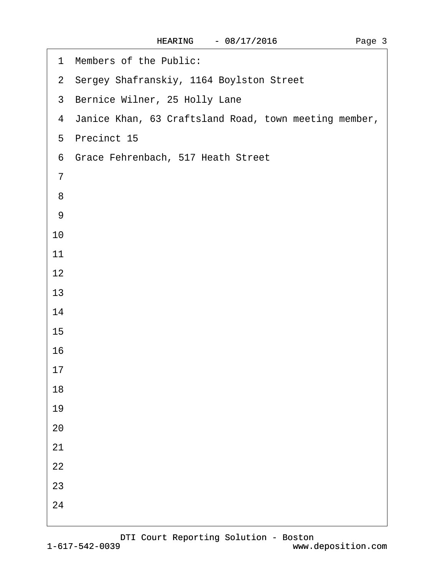| Members of the Public:<br>1                             |
|---------------------------------------------------------|
| 2 Sergey Shafranskiy, 1164 Boylston Street              |
| 3 Bernice Wilner, 25 Holly Lane                         |
| 4 Janice Khan, 63 Craftsland Road, town meeting member, |
| 5 Precinct 15                                           |
| 6 Grace Fehrenbach, 517 Heath Street                    |
| $\overline{7}$                                          |
| 8                                                       |
| 9                                                       |
| 10                                                      |
| 11                                                      |
| 12                                                      |
| 13                                                      |
| 14                                                      |
| 15                                                      |
| 16                                                      |
| 17                                                      |
| 18                                                      |
| 19                                                      |
| 20                                                      |
| 21                                                      |
| 22                                                      |
| 23                                                      |
| 24                                                      |
|                                                         |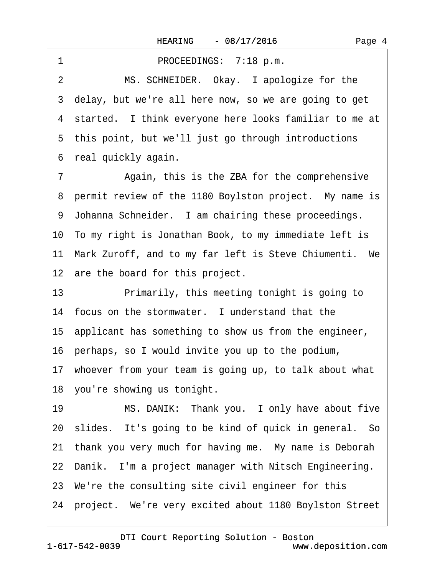<span id="page-3-0"></span>1 PROCEEDINGS: 7:18 p.m. 2 MS. SCHNEIDER. Okay. I apologize for the 3 delay, but we're all here now, so we are going to get 4 started. I think everyone here looks familiar to me at 5 this point, but we'll just go through introductions 6 real quickly again.

7 Again, this is the ZBA for the comprehensive 8 permit review of the 1180 Boylston project. My name is 9 Johanna Schneider. I am chairing these proceedings. 10· To my right is Jonathan Book, to my immediate left is 11 Mark Zuroff, and to my far left is Steve Chiumenti. We 12 are the board for this project.

13 • Primarily, this meeting tonight is going to 14 focus on the stormwater. I understand that the 15· applicant has something to show us from the engineer, 16· perhaps, so I would invite you up to the podium,

17· whoever from your team is going up, to talk about what

18 you're showing us tonight.

19 MS. DANIK: Thank you. I only have about five 20· slides.· It's going to be kind of quick in general.· So 21 thank you very much for having me. My name is Deborah 22 Danik. I'm a project manager with Nitsch Engineering. 23· We're the consulting site civil engineer for this 24 project. We're very excited about 1180 Boylston Street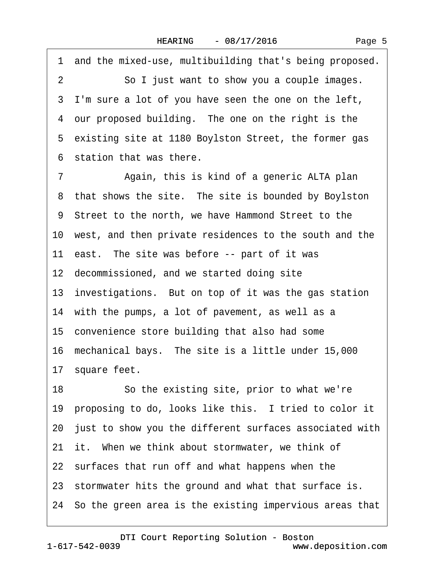<span id="page-4-0"></span>1 and the mixed-use, multibuilding that's being proposed. 2 So I just want to show you a couple images. 3 I'm sure a lot of you have seen the one on the left, 4 our proposed building. The one on the right is the 5 existing site at 1180 Boylston Street, the former gas ·6· station that was there. 7 • Again, this is kind of a generic ALTA plan 8 that shows the site. The site is bounded by Boylston ·9· Street to the north, we have Hammond Street to the 10· west, and then private residences to the south and the 11 east. The site was before -- part of it was 12 decommissioned, and we started doing site 13· investigations.· But on top of it was the gas station 14 with the pumps, a lot of pavement, as well as a 15· convenience store building that also had some 16· mechanical bays.· The site is a little under 15,000 17 square feet. 18 So the existing site, prior to what we're 19 proposing to do, looks like this. I tried to color it 20· just to show you the different surfaces associated with 21 it. When we think about stormwater, we think of 22 surfaces that run off and what happens when the 23 stormwater hits the ground and what that surface is. 24· So the green area is the existing impervious areas that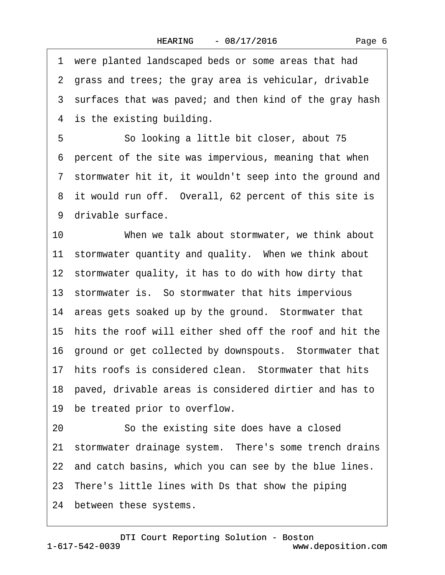<span id="page-5-0"></span>·1· were planted landscaped beds or some areas that had ·2· grass and trees; the gray area is vehicular, drivable 3 surfaces that was paved; and then kind of the gray hash 4 is the existing building. 5 **• So looking a little bit closer, about 75** ·6· percent of the site was impervious, meaning that when 7 stormwater hit it, it wouldn't seep into the ground and 8 it would run off. Overall, 62 percent of this site is 9 drivable surface. 10 When we talk about stormwater, we think about 11 stormwater quantity and quality. When we think about 12 stormwater quality, it has to do with how dirty that 13· stormwater is.· So stormwater that hits impervious 14 areas gets soaked up by the ground. Stormwater that 15· hits the roof will either shed off the roof and hit the 16 ground or get collected by downspouts. Stormwater that 17 hits roofs is considered clean. Stormwater that hits 18· paved, drivable areas is considered dirtier and has to 19 be treated prior to overflow. 20 So the existing site does have a closed 21 stormwater drainage system. There's some trench drains 22 and catch basins, which you can see by the blue lines. 23· There's little lines with Ds that show the piping 24 between these systems.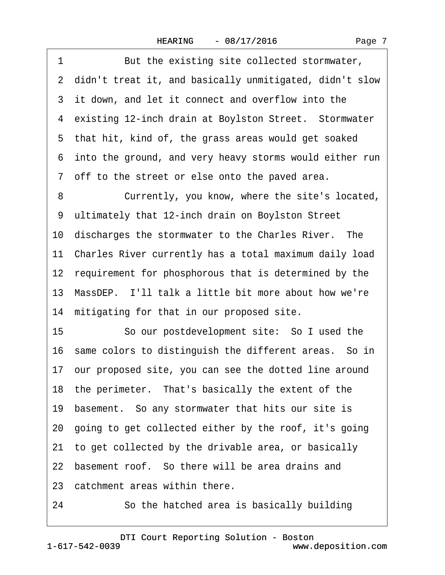<span id="page-6-0"></span>

| 1  | But the existing site collected stormwater,               |
|----|-----------------------------------------------------------|
|    | 2 didn't treat it, and basically unmitigated, didn't slow |
|    | 3 it down, and let it connect and overflow into the       |
|    | 4 existing 12-inch drain at Boylston Street. Stormwater   |
|    | 5 that hit, kind of, the grass areas would get soaked     |
|    | 6 into the ground, and very heavy storms would either run |
|    | 7 off to the street or else onto the paved area.          |
| 8  | Currently, you know, where the site's located,            |
|    | 9 ultimately that 12-inch drain on Boylston Street        |
|    | 10 discharges the stormwater to the Charles River. The    |
|    | 11 Charles River currently has a total maximum daily load |
|    | 12 requirement for phosphorous that is determined by the  |
|    | 13 MassDEP. I'll talk a little bit more about how we're   |
|    | 14 mitigating for that in our proposed site.              |
| 15 | So our postdevelopment site: So I used the                |
|    | 16 same colors to distinguish the different areas. So in  |
|    | 17 our proposed site, you can see the dotted line around  |
|    | 18 the perimeter. That's basically the extent of the      |
|    | 19 basement. So any stormwater that hits our site is      |
|    | 20 going to get collected either by the roof, it's going  |
| 21 | to get collected by the drivable area, or basically       |
|    | 22 basement roof. So there will be area drains and        |
|    | 23 catchment areas within there.                          |
| 24 | So the hatched area is basically building                 |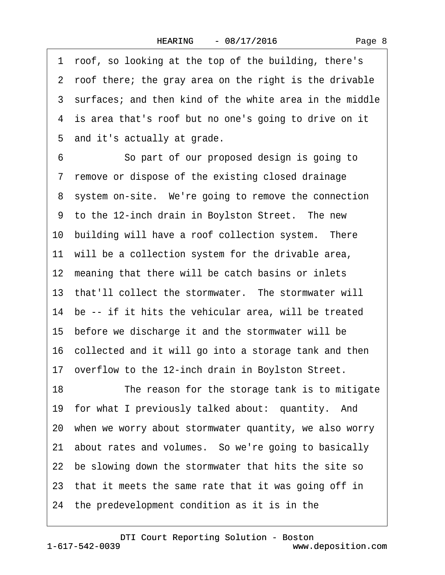<span id="page-7-0"></span>·1· roof, so looking at the top of the building, there's ·2· roof there; the gray area on the right is the drivable 3 surfaces; and then kind of the white area in the middle 4 is area that's roof but no one's going to drive on it 5 and it's actually at grade.

6 **So part of our proposed design is going to** 7 remove or dispose of the existing closed drainage 8 system on-site. We're going to remove the connection 9 to the 12-inch drain in Boylston Street. The new 10 building will have a roof collection system. There 11 will be a collection system for the drivable area, 12 meaning that there will be catch basins or inlets 13 that'll collect the stormwater. The stormwater will 14 be -- if it hits the vehicular area, will be treated 15 before we discharge it and the stormwater will be 16· collected and it will go into a storage tank and then 17 overflow to the 12-inch drain in Boylston Street. 18 The reason for the storage tank is to mitigate 19 for what I previously talked about: quantity. And 20· when we worry about stormwater quantity, we also worry 21· about rates and volumes.· So we're going to basically 22 be slowing down the stormwater that hits the site so 23· that it meets the same rate that it was going off in 24· the predevelopment condition as it is in the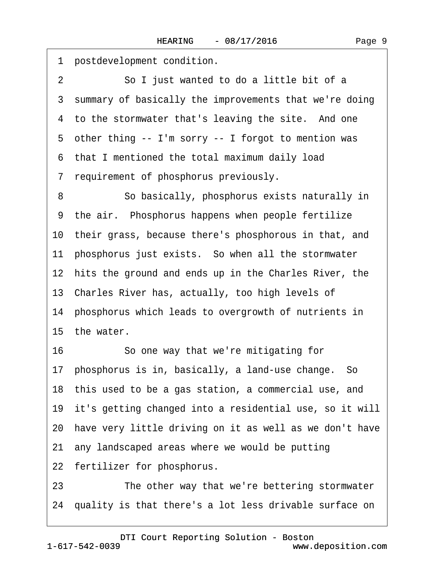<span id="page-8-0"></span>

| 1  | postdevelopment condition.                                 |
|----|------------------------------------------------------------|
| 2  | So I just wanted to do a little bit of a                   |
| 3  | summary of basically the improvements that we're doing     |
|    | 4 to the stormwater that's leaving the site. And one       |
|    | 5 other thing -- I'm sorry -- I forgot to mention was      |
|    | 6 that I mentioned the total maximum daily load            |
|    | 7 requirement of phosphorus previously.                    |
| 8  | So basically, phosphorus exists naturally in               |
|    | 9 the air. Phosphorus happens when people fertilize        |
|    | 10 their grass, because there's phosphorous in that, and   |
|    | 11 phosphorus just exists. So when all the stormwater      |
|    | 12 hits the ground and ends up in the Charles River, the   |
|    | 13 Charles River has, actually, too high levels of         |
|    | 14 phosphorus which leads to overgrowth of nutrients in    |
|    | 15 the water.                                              |
| 16 | So one way that we're mitigating for                       |
|    | 17 phosphorus is in, basically, a land-use change. So      |
|    | 18 this used to be a gas station, a commercial use, and    |
|    | 19 it's getting changed into a residential use, so it will |
|    | 20 have very little driving on it as well as we don't have |
|    | 21 any landscaped areas where we would be putting          |
|    | 22 fertilizer for phosphorus.                              |
| 23 | The other way that we're bettering stormwater              |

24 quality is that there's a lot less drivable surface on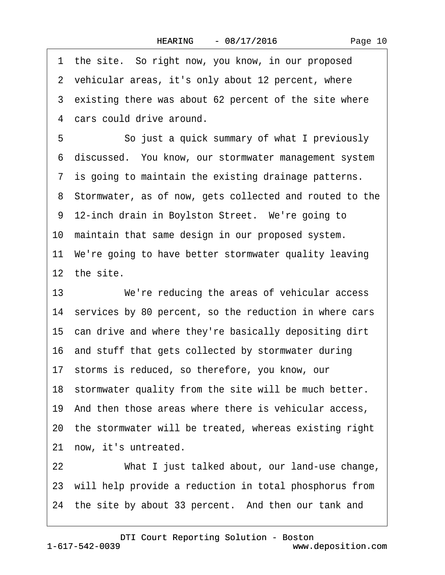<span id="page-9-0"></span>

|    | 1 the site. So right now, you know, in our proposed       |
|----|-----------------------------------------------------------|
|    | 2 vehicular areas, it's only about 12 percent, where      |
|    | 3 existing there was about 62 percent of the site where   |
|    | 4 cars could drive around.                                |
| 5  | So just a quick summary of what I previously              |
|    | 6 discussed. You know, our stormwater management system   |
|    | 7 is going to maintain the existing drainage patterns.    |
|    | 8 Stormwater, as of now, gets collected and routed to the |
|    | 9 12-inch drain in Boylston Street. We're going to        |
|    | 10 maintain that same design in our proposed system.      |
|    | 11 We're going to have better stormwater quality leaving  |
|    | 12 the site.                                              |
| 13 | We're reducing the areas of vehicular access              |
|    | 14 services by 80 percent, so the reduction in where cars |
|    | 15 can drive and where they're basically depositing dirt  |
|    | 16 and stuff that gets collected by stormwater during     |
|    | 17 storms is reduced, so therefore, you know, our         |
|    | 18 stormwater quality from the site will be much better.  |
|    | 19 And then those areas where there is vehicular access,  |
|    | 20 the stormwater will be treated, whereas existing right |
|    | 21 now, it's untreated.                                   |
| 22 | What I just talked about, our land-use change,            |
|    | 23 will help provide a reduction in total phosphorus from |

24 the site by about 33 percent. And then our tank and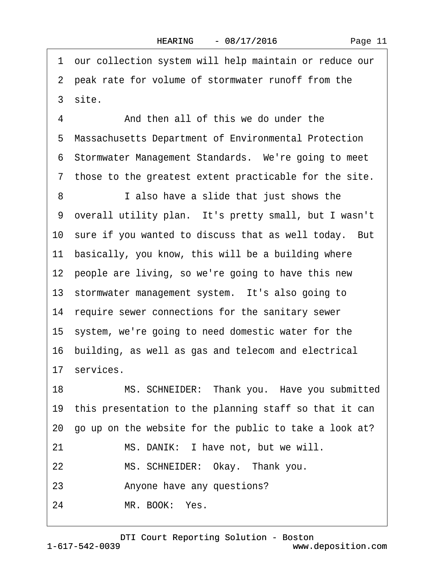<span id="page-10-0"></span>·1· our collection system will help maintain or reduce our 2 peak rate for volume of stormwater runoff from the 3 site. 4 And then all of this we do under the ·5· Massachusetts Department of Environmental Protection 6 Stormwater Management Standards. We're going to meet ·7· those to the greatest extent practicable for the site. 8 **I** also have a slide that just shows the ·9· overall utility plan.· It's pretty small, but I wasn't 10 sure if you wanted to discuss that as well today. But 11 basically, you know, this will be a building where 12 people are living, so we're going to have this new 13 stormwater management system. It's also going to 14 require sewer connections for the sanitary sewer 15· system, we're going to need domestic water for the 16· building, as well as gas and telecom and electrical 17 services. 18 MS. SCHNEIDER: Thank you. Have you submitted 19· this presentation to the planning staff so that it can 20· go up on the website for the public to take a look at? 21 MS. DANIK: I have not, but we will. 22 MS. SCHNEIDER: Okay. Thank you. 23 • Anyone have any questions? 24 MR. BOOK: Yes.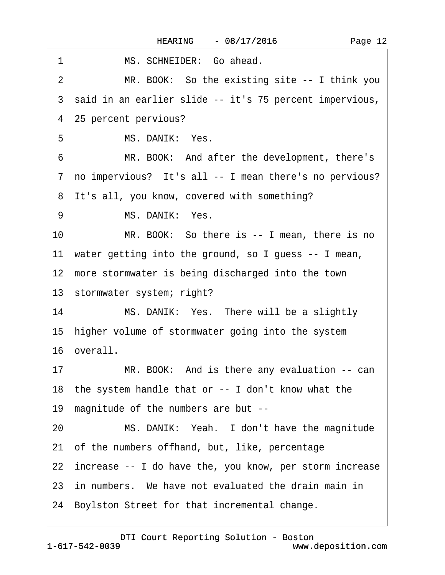<span id="page-11-0"></span>

| 1<br>MS. SCHNEIDER: Go ahead.                                   |
|-----------------------------------------------------------------|
| MR. BOOK: So the existing site -- I think you<br>$\overline{2}$ |
| 3 said in an earlier slide -- it's 75 percent impervious,       |
| 4 25 percent pervious?                                          |
| MS. DANIK: Yes.<br>5                                            |
| MR. BOOK: And after the development, there's<br>6               |
| 7 no impervious? It's all -- I mean there's no pervious?        |
| 8 It's all, you know, covered with something?                   |
| MS. DANIK: Yes.<br>9                                            |
| 10<br>MR. BOOK: So there is -- I mean, there is no              |
| 11 water getting into the ground, so I guess -- I mean,         |
| 12 more stormwater is being discharged into the town            |
| 13 stormwater system; right?                                    |
| 14<br>MS. DANIK: Yes. There will be a slightly                  |
| 15 higher volume of stormwater going into the system            |
| 16 overall.                                                     |
| MR. BOOK: And is there any evaluation -- can<br>17              |
| 18 the system handle that or -- I don't know what the           |
| magnitude of the numbers are but --<br>19                       |
| MS. DANIK: Yeah. I don't have the magnitude<br>20               |
| 21 of the numbers offhand, but, like, percentage                |
| 22 increase -- I do have the, you know, per storm increase      |
| 23 in numbers. We have not evaluated the drain main in          |
| 24 Boylston Street for that incremental change.                 |
|                                                                 |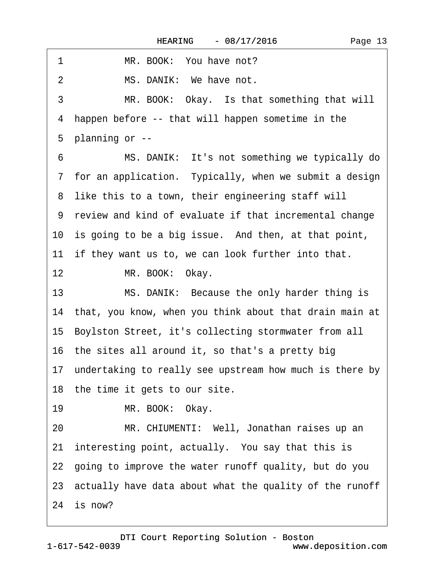<span id="page-12-0"></span>

| 1<br>MR. BOOK: You have not?                               |
|------------------------------------------------------------|
| MS. DANIK: We have not.<br>$\overline{2}$                  |
| 3<br>MR. BOOK: Okay. Is that something that will           |
| 4 happen before -- that will happen sometime in the        |
| 5 planning or --                                           |
| MS. DANIK: It's not something we typically do<br>6         |
| 7 for an application. Typically, when we submit a design   |
| 8 like this to a town, their engineering staff will        |
| 9 review and kind of evaluate if that incremental change   |
| 10 is going to be a big issue. And then, at that point,    |
| 11 if they want us to, we can look further into that.      |
| 12<br>MR. BOOK: Okay.                                      |
| 13<br>MS. DANIK: Because the only harder thing is          |
| 14 that, you know, when you think about that drain main at |
| 15 Boylston Street, it's collecting stormwater from all    |
| 16 the sites all around it, so that's a pretty big         |
| 17 undertaking to really see upstream how much is there by |
| 18 the time it gets to our site.                           |
| 19<br>MR. BOOK: Okay.                                      |
| MR. CHIUMENTI: Well, Jonathan raises up an<br>20           |
| 21 interesting point, actually. You say that this is       |
| 22 going to improve the water runoff quality, but do you   |
| 23 actually have data about what the quality of the runoff |
| 24 is now?                                                 |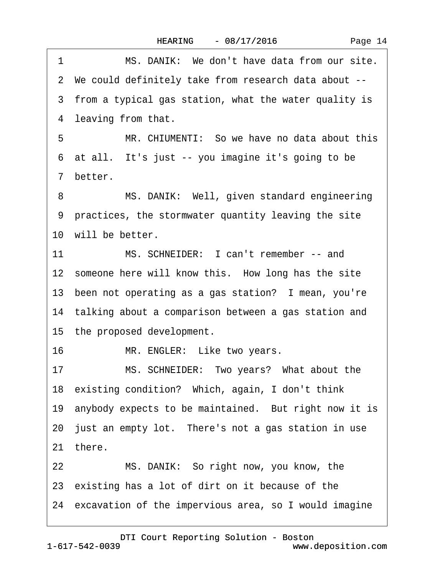<span id="page-13-0"></span>

| 1               | MS. DANIK: We don't have data from our site.             |
|-----------------|----------------------------------------------------------|
|                 | 2 We could definitely take from research data about --   |
|                 | 3 from a typical gas station, what the water quality is  |
|                 | 4 leaving from that.                                     |
| 5               | MR. CHIUMENTI: So we have no data about this             |
|                 | 6 at all. It's just -- you imagine it's going to be      |
|                 | 7 better.                                                |
| 8               | MS. DANIK: Well, given standard engineering              |
|                 | 9 practices, the stormwater quantity leaving the site    |
|                 | 10 will be better.                                       |
| 11              | MS. SCHNEIDER: I can't remember -- and                   |
|                 | 12 someone here will know this. How long has the site    |
|                 | 13 been not operating as a gas station? I mean, you're   |
|                 | 14 talking about a comparison between a gas station and  |
|                 | 15 the proposed development.                             |
| 16              | MR. ENGLER: Like two years.                              |
| 17              | MS. SCHNEIDER: Two years? What about the                 |
|                 | 18 existing condition? Which, again, I don't think       |
|                 | 19 anybody expects to be maintained. But right now it is |
|                 | 20 just an empty lot. There's not a gas station in use   |
|                 | 21 there.                                                |
| 22 <sub>2</sub> | MS. DANIK: So right now, you know, the                   |
|                 | 23 existing has a lot of dirt on it because of the       |
|                 | 24 excavation of the impervious area, so I would imagine |
|                 |                                                          |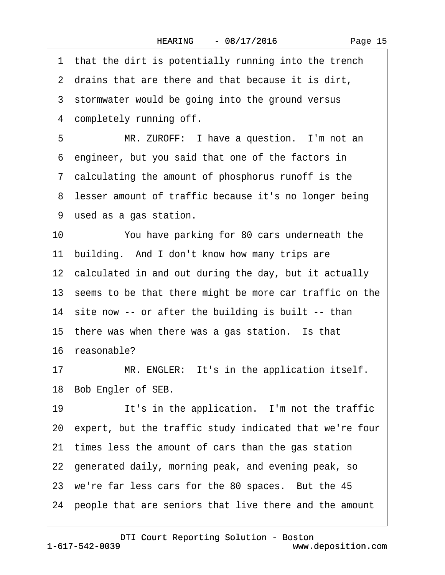<span id="page-14-0"></span>1 that the dirt is potentially running into the trench 2 drains that are there and that because it is dirt, 3 stormwater would be going into the ground versus 4 completely running off. 5 MR. ZUROFF: I have a question. I'm not an ·6· engineer, but you said that one of the factors in ·7· calculating the amount of phosphorus runoff is the 8 lesser amount of traffic because it's no longer being ·9· used as a gas station. 10 You have parking for 80 cars underneath the 11 building. And I don't know how many trips are 12 calculated in and out during the day, but it actually 13 seems to be that there might be more car traffic on the 14 site now -- or after the building is built -- than 15 there was when there was a gas station. Is that 16· reasonable? 17 MR. ENGLER: It's in the application itself. 18 Bob Engler of SEB. 19 It's in the application. I'm not the traffic 20· expert, but the traffic study indicated that we're four 21 times less the amount of cars than the gas station 22 generated daily, morning peak, and evening peak, so 23 we're far less cars for the 80 spaces. But the 45 24· people that are seniors that live there and the amount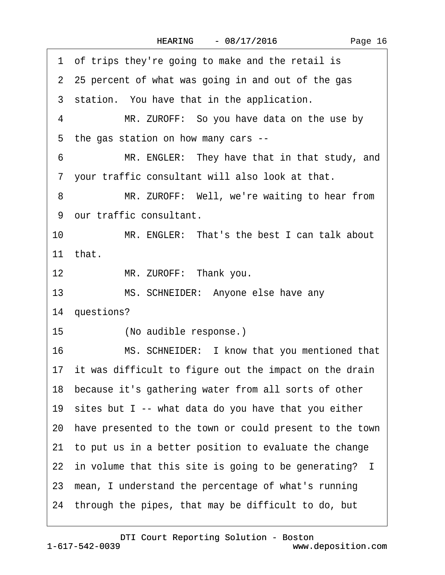<span id="page-15-0"></span>

| 1 of trips they're going to make and the retail is         |
|------------------------------------------------------------|
| 2 25 percent of what was going in and out of the gas       |
| 3 station. You have that in the application.               |
| 4<br>MR. ZUROFF: So you have data on the use by            |
| 5 the gas station on how many cars --                      |
| 6<br>MR. ENGLER: They have that in that study, and         |
| 7 your traffic consultant will also look at that.          |
| MR. ZUROFF: Well, we're waiting to hear from<br>8          |
| 9 our traffic consultant.                                  |
| 10<br>MR. ENGLER: That's the best I can talk about         |
| 11 that.                                                   |
| MR. ZUROFF: Thank you.<br>12 <sup>12</sup>                 |
| 13<br>MS. SCHNEIDER: Anyone else have any                  |
| 14 questions?                                              |
| 15 <sup>15</sup><br>(No audible response.)                 |
| 16<br>MS. SCHNEIDER: I know that you mentioned that        |
| 17 it was difficult to figure out the impact on the drain  |
| 18 because it's gathering water from all sorts of other    |
| 19 sites but I -- what data do you have that you either    |
| 20 have presented to the town or could present to the town |
| 21 to put us in a better position to evaluate the change   |
| 22 in volume that this site is going to be generating? I   |
| 23 mean, I understand the percentage of what's running     |
| 24 through the pipes, that may be difficult to do, but     |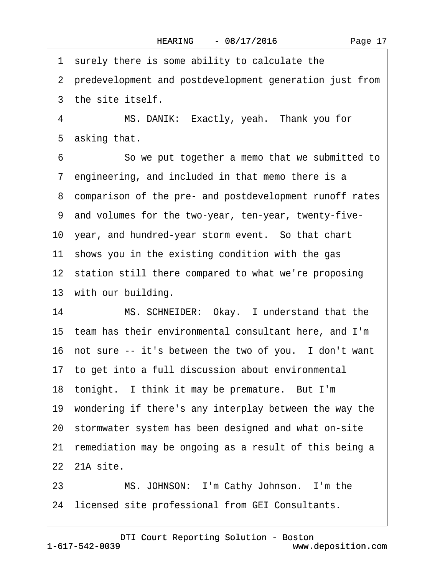<span id="page-16-0"></span>1 surely there is some ability to calculate the 2 predevelopment and postdevelopment generation just from 3 the site itself. 4 MS. DANIK: Exactly, yeah. Thank you for 5 asking that. 6 **· · · · So we put together a memo that we submitted to** 7 engineering, and included in that memo there is a 8 comparison of the pre- and postdevelopment runoff rates ·9· and volumes for the two-year, ten-year, twenty-five-10 year, and hundred-year storm event. So that chart 11 shows you in the existing condition with the gas 12 station still there compared to what we're proposing 13 with our building. 14 MS. SCHNEIDER: Okay. I understand that the 15· team has their environmental consultant here, and I'm 16 not sure -- it's between the two of you. I don't want 17· to get into a full discussion about environmental 18 tonight. I think it may be premature. But I'm 19 wondering if there's any interplay between the way the 20· stormwater system has been designed and what on-site 21 remediation may be ongoing as a result of this being a 22 21A site. 23 MS. JOHNSON: I'm Cathy Johnson. I'm the

24 licensed site professional from GEI Consultants.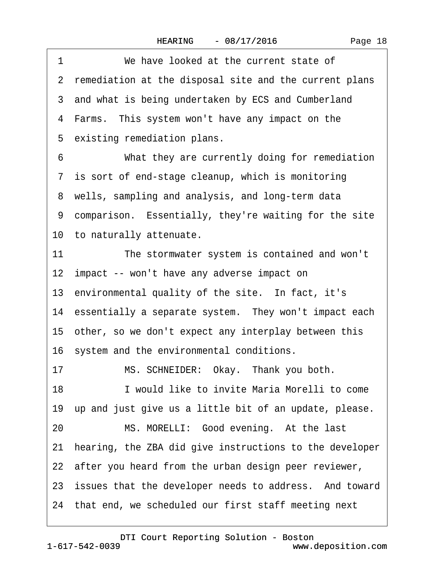Page 18

<span id="page-17-0"></span>1 We have looked at the current state of 2 remediation at the disposal site and the current plans 3 and what is being undertaken by ECS and Cumberland 4 Farms. This system won't have any impact on the 5 existing remediation plans. 6 What they are currently doing for remediation 7 is sort of end-stage cleanup, which is monitoring 8 wells, sampling and analysis, and long-term data 9 comparison. Essentially, they're waiting for the site 10 to naturally attenuate. 11 The stormwater system is contained and won't 12 impact -- won't have any adverse impact on 13 environmental quality of the site. In fact, it's 14 essentially a separate system. They won't impact each 15· other, so we don't expect any interplay between this 16 system and the environmental conditions. 17 MS. SCHNEIDER: Okay. Thank you both. 18· · · · · ·I would like to invite Maria Morelli to come 19 up and just give us a little bit of an update, please. 20 MS. MORELLI: Good evening. At the last 21· hearing, the ZBA did give instructions to the developer 22 after you heard from the urban design peer reviewer, 23 issues that the developer needs to address. And toward 24 that end, we scheduled our first staff meeting next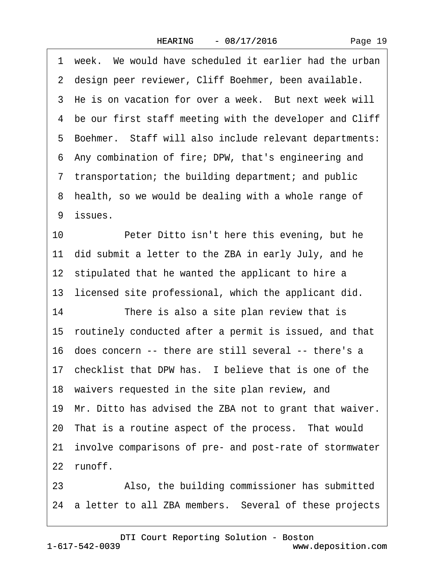<span id="page-18-0"></span>1 week. We would have scheduled it earlier had the urban 2 design peer reviewer, Cliff Boehmer, been available. 3 He is on vacation for over a week. But next week will ·4· be our first staff meeting with the developer and Cliff 5 Boehmer. Staff will also include relevant departments: ·6· Any combination of fire; DPW, that's engineering and ·7· transportation; the building department; and public 8 health, so we would be dealing with a whole range of 9 issues. 10 Peter Ditto isn't here this evening, but he 11 did submit a letter to the ZBA in early July, and he 12 stipulated that he wanted the applicant to hire a 13 licensed site professional, which the applicant did. 14 There is also a site plan review that is 15· routinely conducted after a permit is issued, and that 16· does concern -- there are still several -- there's a 17 checklist that DPW has. I believe that is one of the 18 waivers requested in the site plan review, and 19· Mr. Ditto has advised the ZBA not to grant that waiver. 20 That is a routine aspect of the process. That would 21· involve comparisons of pre- and post-rate of stormwater 22 runoff. 23 • Also, the building commissioner has submitted

[DTI Court Reporting Solution - Boston](http://www.deposition.com)

24 a letter to all ZBA members. Several of these projects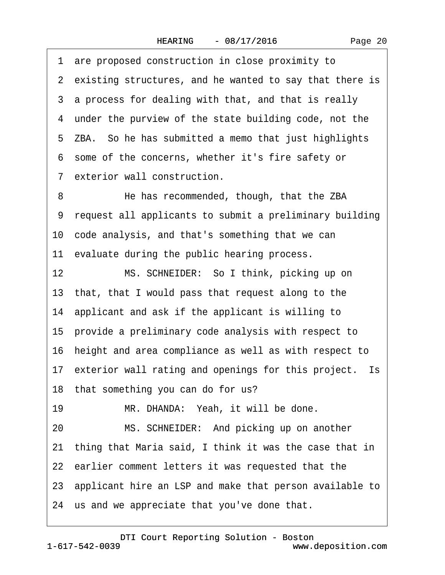Page 20

<span id="page-19-0"></span>·1· are proposed construction in close proximity to 2 existing structures, and he wanted to say that there is 3 a process for dealing with that, and that is really 4 under the purview of the state building code, not the 5 ZBA. So he has submitted a memo that just highlights ·6· some of the concerns, whether it's fire safety or 7 exterior wall construction. 8 He has recommended, though, that the ZBA ·9· request all applicants to submit a preliminary building 10· code analysis, and that's something that we can 11 evaluate during the public hearing process. 12 MS. SCHNEIDER: So I think, picking up on 13· that, that I would pass that request along to the 14· applicant and ask if the applicant is willing to 15· provide a preliminary code analysis with respect to 16· height and area compliance as well as with respect to 17 exterior wall rating and openings for this project. Is 18 that something you can do for us? 19 MR. DHANDA: Yeah, it will be done. 20 MS. SCHNEIDER: And picking up on another 21· thing that Maria said, I think it was the case that in 22 earlier comment letters it was requested that the 23 applicant hire an LSP and make that person available to 24· us and we appreciate that you've done that.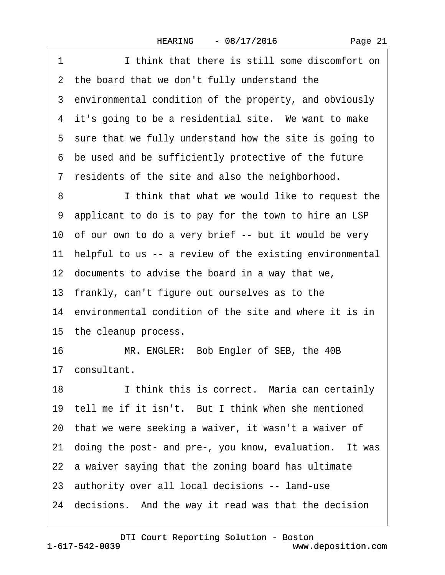<span id="page-20-0"></span>1 **I** think that there is still some discomfort on 2 the board that we don't fully understand the 3 environmental condition of the property, and obviously 4 it's going to be a residential site. We want to make 5 sure that we fully understand how the site is going to ·6· be used and be sufficiently protective of the future ·7· residents of the site and also the neighborhood. 8 **I** think that what we would like to request the ·9· applicant to do is to pay for the town to hire an LSP 10 of our own to do a very brief -- but it would be very 11 helpful to us -- a review of the existing environmental 12 documents to advise the board in a way that we, 13 frankly, can't figure out ourselves as to the 14 environmental condition of the site and where it is in 15 the cleanup process. 16 MR. ENGLER: Bob Engler of SEB, the 40B 17· consultant. 18 I think this is correct. Maria can certainly 19 tell me if it isn't. But I think when she mentioned 20· that we were seeking a waiver, it wasn't a waiver of 21· doing the post- and pre-, you know, evaluation.· It was 22 a waiver saying that the zoning board has ultimate 23· authority over all local decisions -- land-use 24 decisions. And the way it read was that the decision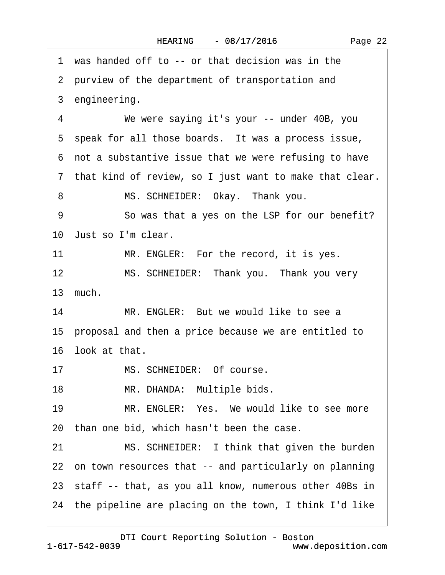<span id="page-21-0"></span>·1· was handed off to -- or that decision was in the 2 purview of the department of transportation and 3 engineering. 4 We were saying it's your -- under 40B, you 5 speak for all those boards. It was a process issue, ·6· not a substantive issue that we were refusing to have ·7· that kind of review, so I just want to make that clear. 8 MS. SCHNEIDER: Okay. Thank you. 9 So was that a yes on the LSP for our benefit? 10 Just so I'm clear. 11 MR. ENGLER: For the record, it is yes. 12 MS. SCHNEIDER: Thank you. Thank you very 13· much. 14 MR. ENGLER: But we would like to see a 15· proposal and then a price because we are entitled to 16 look at that. 17 MS. SCHNEIDER: Of course. 18 MR. DHANDA: Multiple bids. 19 MR. ENGLER: Yes. We would like to see more 20· than one bid, which hasn't been the case. 21 MS. SCHNEIDER: I think that given the burden 22 on town resources that -- and particularly on planning 23 staff -- that, as you all know, numerous other 40Bs in 24· the pipeline are placing on the town, I think I'd like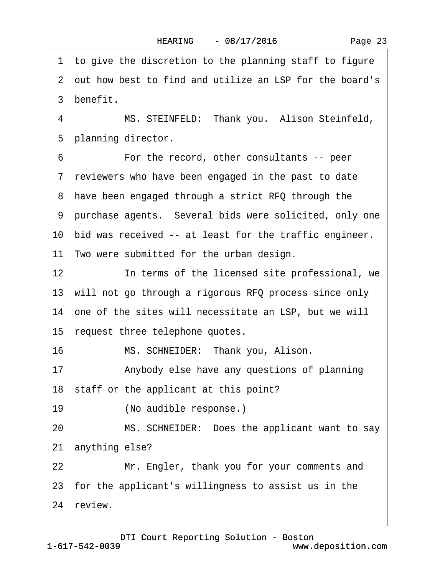<span id="page-22-0"></span>1 to give the discretion to the planning staff to figure ·2· out how best to find and utilize an LSP for the board's 3 benefit. 4 MS. STEINFELD: Thank you. Alison Steinfeld, 5 planning director. 6 **•••** For the record, other consultants -- peer ·7· reviewers who have been engaged in the past to date 8 have been engaged through a strict RFQ through the 9 purchase agents. Several bids were solicited, only one 10 bid was received -- at least for the traffic engineer. 11 Two were submitted for the urban design. 12 **In terms of the licensed site professional, we** 13 will not go through a rigorous RFQ process since only 14 one of the sites will necessitate an LSP, but we will 15 request three telephone quotes. 16 MS. SCHNEIDER: Thank you, Alison. 17 • Anybody else have any questions of planning 18 staff or the applicant at this point? 19 (No audible response.) 20 MS. SCHNEIDER: Does the applicant want to say 21 anything else? 22 Mr. Engler, thank you for your comments and 23· for the applicant's willingness to assist us in the 24 review.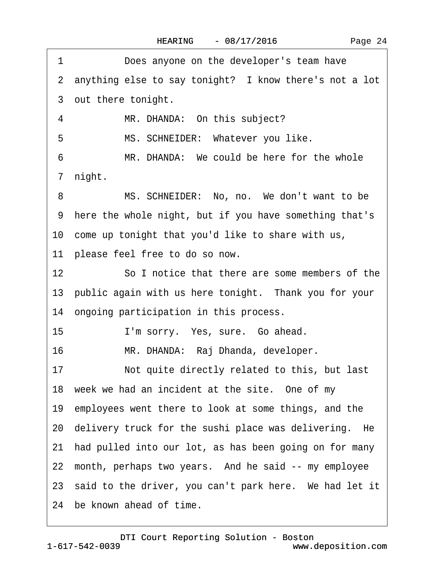<span id="page-23-0"></span>1 Does anyone on the developer's team have 2 anything else to say tonight? I know there's not a lot 3 out there tonight. 4 MR. DHANDA: On this subject? 5 MS. SCHNEIDER: Whatever you like. 6 MR. DHANDA: We could be here for the whole 7 night. 8 MS. SCHNEIDER: No, no. We don't want to be ·9· here the whole night, but if you have something that's 10 come up tonight that you'd like to share with us, 11 please feel free to do so now. 12 So I notice that there are some members of the 13 public again with us here tonight. Thank you for your 14 ongoing participation in this process. 15 · · · · I'm sorry. Yes, sure. Go ahead. 16 MR. DHANDA: Raj Dhanda, developer. 17 Not quite directly related to this, but last 18 week we had an incident at the site. One of my 19 employees went there to look at some things, and the 20 delivery truck for the sushi place was delivering. He 21· had pulled into our lot, as has been going on for many 22 month, perhaps two years. And he said -- my employee 23 said to the driver, you can't park here. We had let it 24 be known ahead of time.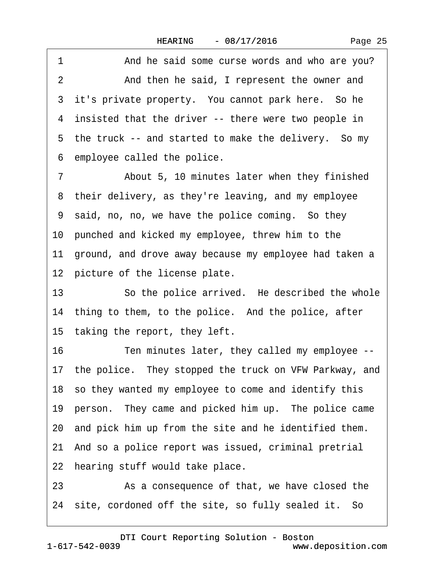<span id="page-24-0"></span>1 And he said some curse words and who are you? 2 And then he said, I represent the owner and 3 it's private property. You cannot park here. So he 4 insisted that the driver -- there were two people in 5 the truck -- and started to make the delivery. So my ·6· employee called the police.

7 **••** About 5, 10 minutes later when they finished 8 their delivery, as they're leaving, and my employee ·9· said, no, no, we have the police coming.· So they 10 punched and kicked my employee, threw him to the 11 ground, and drove away because my employee had taken a 12 picture of the license plate.

13 • So the police arrived. He described the whole 14 thing to them, to the police. And the police, after 15 taking the report, they left.

16 Ten minutes later, they called my employee --

17 the police. They stopped the truck on VFW Parkway, and

18 so they wanted my employee to come and identify this

19 person. They came and picked him up. The police came

20· and pick him up from the site and he identified them.

21 And so a police report was issued, criminal pretrial

22 hearing stuff would take place.

23 As a consequence of that, we have closed the

24 site, cordoned off the site, so fully sealed it. So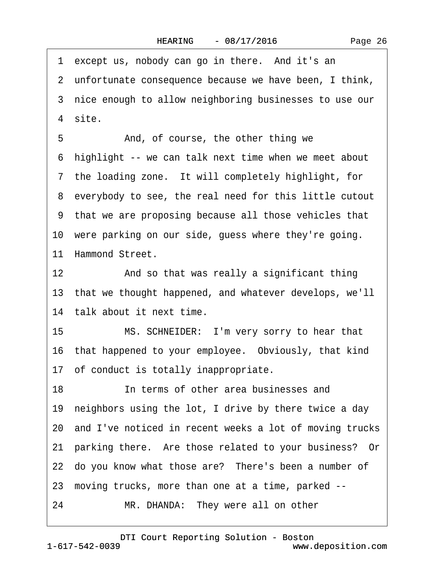Page 26

<span id="page-25-0"></span>1 except us, nobody can go in there. And it's an 2 unfortunate consequence because we have been, I think, 3 nice enough to allow neighboring businesses to use our 4 site. 5 • **And, of course, the other thing we** ·6· highlight -- we can talk next time when we meet about 7 the loading zone. It will completely highlight, for ·8· everybody to see, the real need for this little cutout ·9· that we are proposing because all those vehicles that 10 were parking on our side, guess where they're going. 11 Hammond Street. 12 • And so that was really a significant thing 13· that we thought happened, and whatever develops, we'll 14 talk about it next time. 15 MS. SCHNEIDER: I'm very sorry to hear that 16· that happened to your employee.· Obviously, that kind 17· of conduct is totally inappropriate. 18· · · · · ·In terms of other area businesses and 19 neighbors using the lot, I drive by there twice a day 20· and I've noticed in recent weeks a lot of moving trucks 21· parking there.· Are those related to your business?· Or 22 do you know what those are? There's been a number of 23· moving trucks, more than one at a time, parked -- 24 MR. DHANDA: They were all on other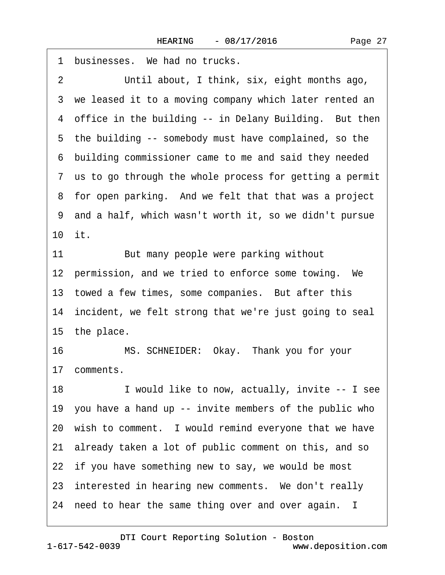<span id="page-26-0"></span>

| 1              | businesses. We had no trucks.                             |
|----------------|-----------------------------------------------------------|
| $\overline{2}$ | Until about, I think, six, eight months ago,              |
|                | 3 we leased it to a moving company which later rented an  |
|                | 4 office in the building -- in Delany Building. But then  |
|                | 5 the building -- somebody must have complained, so the   |
|                | 6 building commissioner came to me and said they needed   |
|                | 7 us to go through the whole process for getting a permit |
|                | 8 for open parking. And we felt that that was a project   |
|                | 9 and a half, which wasn't worth it, so we didn't pursue  |
| 10 it.         |                                                           |
| 11             | But many people were parking without                      |
|                | 12 permission, and we tried to enforce some towing. We    |
|                | 13 towed a few times, some companies. But after this      |
|                | 14 incident, we felt strong that we're just going to seal |
|                | 15 the place.                                             |
| 16             | MS. SCHNEIDER: Okay. Thank you for your                   |
|                | 17 comments.                                              |
| 18             | I would like to now, actually, invite -- I see            |
|                | 19 you have a hand up -- invite members of the public who |
|                | 20 wish to comment. I would remind everyone that we have  |
|                | 21 already taken a lot of public comment on this, and so  |
|                | 22 if you have something new to say, we would be most     |
|                | 23 interested in hearing new comments. We don't really    |
|                | 24 need to hear the same thing over and over again. I     |
|                |                                                           |

1-617-542-0039 [DTI Court Reporting Solution - Boston](http://www.deposition.com)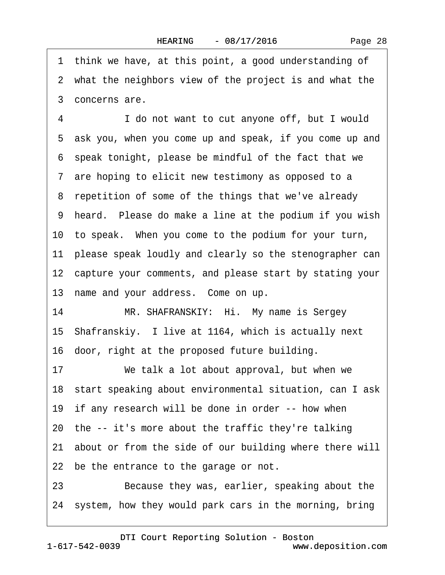<span id="page-27-0"></span>1 think we have, at this point, a good understanding of 2 what the neighbors view of the project is and what the ·3· concerns are. 4 I do not want to cut anyone off, but I would ·5· ask you, when you come up and speak, if you come up and ·6· speak tonight, please be mindful of the fact that we 7 are hoping to elicit new testimony as opposed to a 8 repetition of some of the things that we've already 9 heard. Please do make a line at the podium if you wish 10 to speak. When you come to the podium for your turn, 11 please speak loudly and clearly so the stenographer can 12 capture your comments, and please start by stating your 13 name and your address. Come on up. 14 MR. SHAFRANSKIY: Hi. My name is Sergey 15 Shafranskiy. I live at 1164, which is actually next 16 door, right at the proposed future building. 17 We talk a lot about approval, but when we 18 start speaking about environmental situation, can I ask 19 if any research will be done in order -- how when 20· the -- it's more about the traffic they're talking 21 about or from the side of our building where there will 22 be the entrance to the garage or not. 23 Because they was, earlier, speaking about the 24· system, how they would park cars in the morning, bring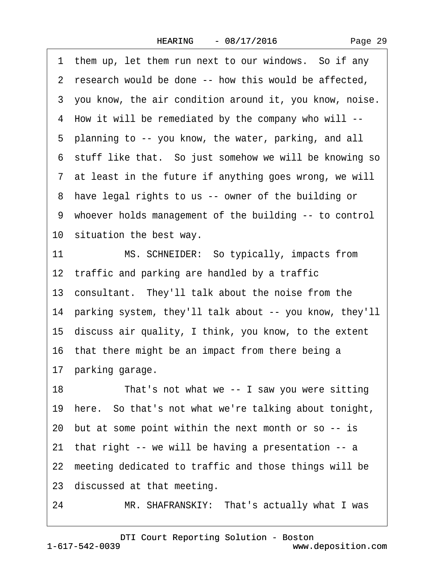<span id="page-28-0"></span>1 them up, let them run next to our windows. So if any 2 research would be done -- how this would be affected. 3 you know, the air condition around it, you know, noise. ·4· How it will be remediated by the company who will -- ·5· planning to -- you know, the water, parking, and all 6 stuff like that. So just somehow we will be knowing so 7 at least in the future if anything goes wrong, we will 8 have legal rights to us -- owner of the building or ·9· whoever holds management of the building -- to control 10 situation the best way. 11 MS. SCHNEIDER: So typically, impacts from 12 traffic and parking are handled by a traffic 13· consultant.· They'll talk about the noise from the 14· parking system, they'll talk about -- you know, they'll 15· discuss air quality, I think, you know, to the extent 16 that there might be an impact from there being a 17 parking garage. 18 That's not what we -- I saw you were sitting 19· here.· So that's not what we're talking about tonight, 20· but at some point within the next month or so -- is 21· that right -- we will be having a presentation -- a 22 meeting dedicated to traffic and those things will be 23 discussed at that meeting. 24 MR. SHAFRANSKIY: That's actually what I was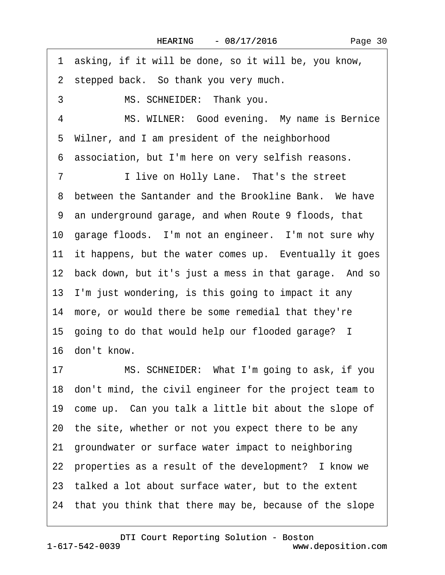<span id="page-29-0"></span>1 asking, if it will be done, so it will be, you know, 2 stepped back. So thank you very much. 3 MS. SCHNEIDER: Thank you. 4 MS. WILNER: Good evening. My name is Bernice 5 Wilner, and I am president of the neighborhood ·6· association, but I'm here on very selfish reasons. 7 I live on Holly Lane. That's the street 8 between the Santander and the Brookline Bank. We have ·9· an underground garage, and when Route 9 floods, that 10 garage floods. I'm not an engineer. I'm not sure why 11 it happens, but the water comes up. Eventually it goes 12 back down, but it's just a mess in that garage. And so 13· I'm just wondering, is this going to impact it any 14 more, or would there be some remedial that they're 15· going to do that would help our flooded garage? I 16· don't know. 17 MS. SCHNEIDER: What I'm going to ask, if you 18· don't mind, the civil engineer for the project team to 19 come up. Can you talk a little bit about the slope of 20· the site, whether or not you expect there to be any 21· groundwater or surface water impact to neighboring 22 properties as a result of the development? I know we 23· talked a lot about surface water, but to the extent 24· that you think that there may be, because of the slope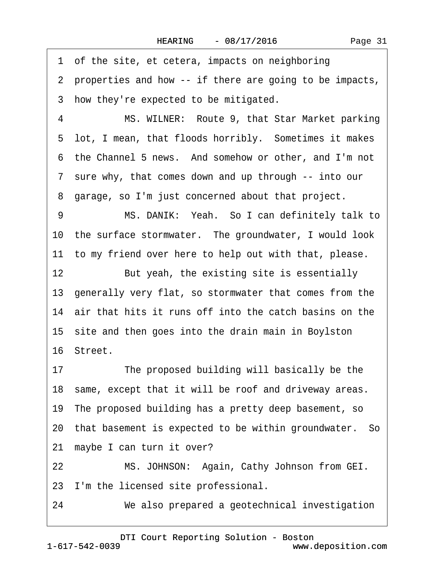Page 31

<span id="page-30-0"></span>1 of the site, et cetera, impacts on neighboring ·2· properties and how -- if there are going to be impacts, 3 how they're expected to be mitigated. 4 MS. WILNER: Route 9, that Star Market parking 5 lot, I mean, that floods horribly. Sometimes it makes ·6· the Channel 5 news.· And somehow or other, and I'm not ·7· sure why, that comes down and up through -- into our 8 garage, so I'm just concerned about that project. 9 MS. DANIK: Yeah. So I can definitely talk to 10 the surface stormwater. The groundwater, I would look 11 to my friend over here to help out with that, please. 12 But yeah, the existing site is essentially 13· generally very flat, so stormwater that comes from the 14 air that hits it runs off into the catch basins on the 15· site and then goes into the drain main in Boylston 16· Street. 17 The proposed building will basically be the 18 same, except that it will be roof and driveway areas. 19· The proposed building has a pretty deep basement, so 20· that basement is expected to be within groundwater.· So 21 maybe I can turn it over? 22 MS. JOHNSON: Again, Cathy Johnson from GEI. 23 I'm the licensed site professional. 24 We also prepared a geotechnical investigation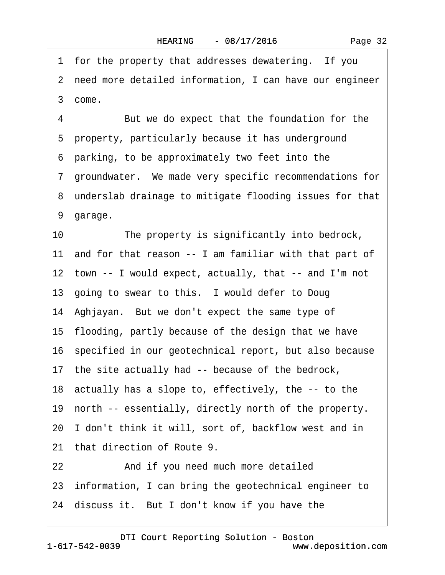<span id="page-31-0"></span>1 for the property that addresses dewatering. If you 2 need more detailed information, I can have our engineer ·3· come. 4 But we do expect that the foundation for the 5 property, particularly because it has underground ·6· parking, to be approximately two feet into the ·7· groundwater.· We made very specific recommendations for 8 underslab drainage to mitigate flooding issues for that 9 garage. 10 The property is significantly into bedrock, 11 and for that reason -- I am familiar with that part of 12 town -- I would expect, actually, that -- and I'm not 13 going to swear to this. I would defer to Doug 14 Aghjayan. But we don't expect the same type of 15· flooding, partly because of the design that we have 16· specified in our geotechnical report, but also because 17 the site actually had -- because of the bedrock, 18· actually has a slope to, effectively, the -- to the 19 north -- essentially, directly north of the property. 20· I don't think it will, sort of, backflow west and in 21 that direction of Route 9. 22 And if you need much more detailed 23· information, I can bring the geotechnical engineer to 24 discuss it. But I don't know if you have the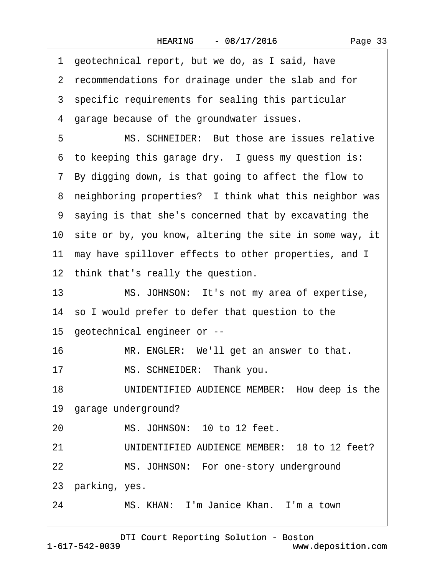<span id="page-32-0"></span>

|    | 1 geotechnical report, but we do, as I said, have          |
|----|------------------------------------------------------------|
|    | 2 recommendations for drainage under the slab and for      |
|    | 3 specific requirements for sealing this particular        |
|    | 4 garage because of the groundwater issues.                |
| 5  | MS. SCHNEIDER: But those are issues relative               |
|    | 6 to keeping this garage dry. I guess my question is:      |
|    | 7 By digging down, is that going to affect the flow to     |
|    | 8 neighboring properties? I think what this neighbor was   |
|    | 9 saying is that she's concerned that by excavating the    |
|    | 10 site or by, you know, altering the site in some way, it |
|    | 11 may have spillover effects to other properties, and I   |
|    | 12 think that's really the question.                       |
| 13 | MS. JOHNSON: It's not my area of expertise,                |
|    | 14 so I would prefer to defer that question to the         |
|    | 15 geotechnical engineer or --                             |
| 16 | MR. ENGLER: We'll get an answer to that.                   |
| 17 | MS. SCHNEIDER: Thank you.                                  |
| 18 | UNIDENTIFIED AUDIENCE MEMBER: How deep is the              |
|    | 19 garage underground?                                     |
| 20 | MS. JOHNSON: 10 to 12 feet.                                |
| 21 | UNIDENTIFIED AUDIENCE MEMBER: 10 to 12 feet?               |
| 22 | MS. JOHNSON: For one-story underground                     |
|    | 23 parking, yes.                                           |
| 24 | MS. KHAN: I'm Janice Khan. I'm a town                      |
|    |                                                            |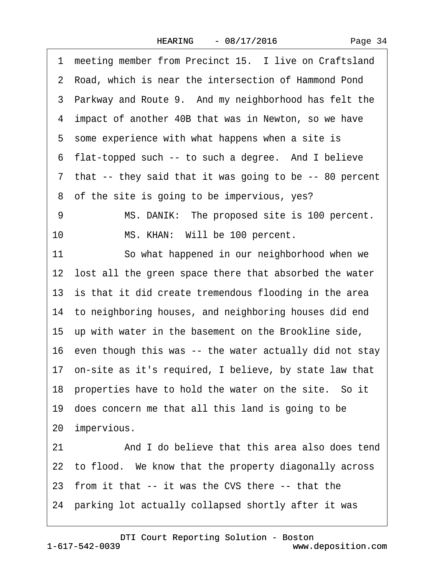<span id="page-33-0"></span>1 meeting member from Precinct 15. I live on Craftsland 2 Road, which is near the intersection of Hammond Pond 3 Parkway and Route 9. And my neighborhood has felt the 4 impact of another 40B that was in Newton, so we have 5 some experience with what happens when a site is 6 flat-topped such -- to such a degree. And I believe 7 that -- they said that it was going to be -- 80 percent 8 of the site is going to be impervious, yes? 9 MS. DANIK: The proposed site is 100 percent. 10 MS. KHAN: Will be 100 percent. 11 So what happened in our neighborhood when we 12 lost all the green space there that absorbed the water 13 is that it did create tremendous flooding in the area 14 to neighboring houses, and neighboring houses did end 15· up with water in the basement on the Brookline side, 16 even though this was -- the water actually did not stay 17· on-site as it's required, I believe, by state law that 18 properties have to hold the water on the site. So it 19· does concern me that all this land is going to be 20 impervious. 21 And I do believe that this area also does tend 22 to flood. We know that the property diagonally across 23 from it that -- it was the CVS there -- that the 24· parking lot actually collapsed shortly after it was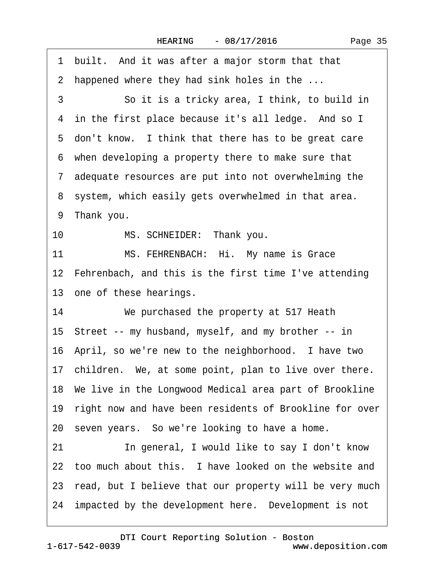<span id="page-34-0"></span>·1· built.· And it was after a major storm that that 2 happened where they had sink holes in the ... 3 **· · · · So it is a tricky area, I think, to build in** 4 in the first place because it's all ledge. And so I 5 don't know. I think that there has to be great care ·6· when developing a property there to make sure that ·7· adequate resources are put into not overwhelming the 8 system, which easily gets overwhelmed in that area. 9 Thank you. 10 MS. SCHNEIDER: Thank you. 11 MS. FEHRENBACH: Hi. My name is Grace 12 Fehrenbach, and this is the first time I've attending 13 one of these hearings. 14 We purchased the property at 517 Heath 15· Street -- my husband, myself, and my brother -- in 16· April, so we're new to the neighborhood.· I have two 17 children. We, at some point, plan to live over there. 18· We live in the Longwood Medical area part of Brookline 19 right now and have been residents of Brookline for over 20· seven years.· So we're looking to have a home. 21 **In general, I would like to say I don't know** 22 too much about this. I have looked on the website and 23 read, but I believe that our property will be very much 24 impacted by the development here. Development is not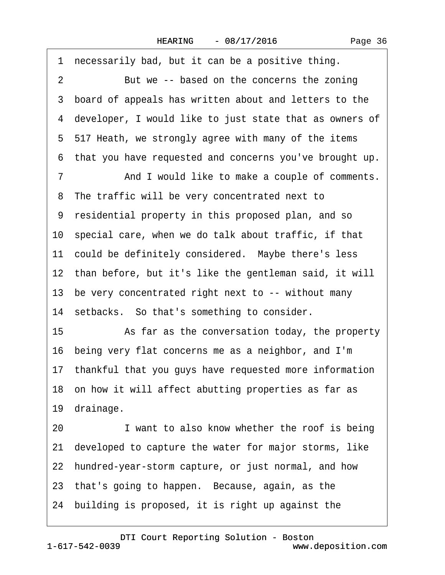<span id="page-35-0"></span>1 necessarily bad, but it can be a positive thing. 2 But we -- based on the concerns the zoning 3 board of appeals has written about and letters to the ·4· developer, I would like to just state that as owners of ·5· 517 Heath, we strongly agree with many of the items ·6· that you have requested and concerns you've brought up. 7 And I would like to make a couple of comments. 8 The traffic will be very concentrated next to ·9· residential property in this proposed plan, and so 10 special care, when we do talk about traffic, if that 11 could be definitely considered. Maybe there's less 12 than before, but it's like the gentleman said, it will 13 be very concentrated right next to -- without many 14 setbacks. So that's something to consider. 15 • As far as the conversation today, the property 16· being very flat concerns me as a neighbor, and I'm 17· thankful that you guys have requested more information 18 on how it will affect abutting properties as far as 19 drainage. 20 I want to also know whether the roof is being 21· developed to capture the water for major storms, like 22 hundred-year-storm capture, or just normal, and how 23 that's going to happen. Because, again, as the 24· building is proposed, it is right up against the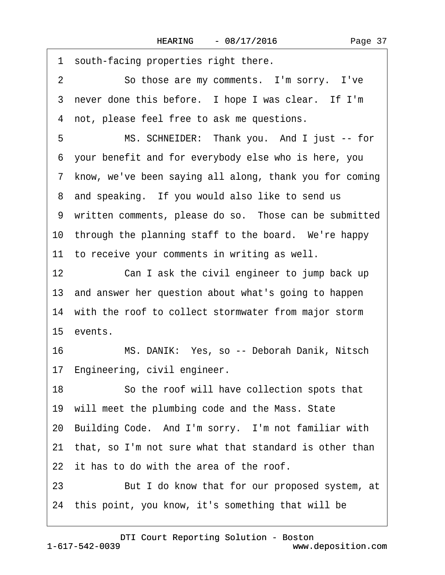<span id="page-36-0"></span>

|    | 1 south-facing properties right there.                    |
|----|-----------------------------------------------------------|
| 2  | So those are my comments. I'm sorry. I've                 |
|    | 3 never done this before. I hope I was clear. If I'm      |
|    | 4 not, please feel free to ask me questions.              |
| 5  | MS. SCHNEIDER: Thank you. And I just -- for               |
|    | 6 your benefit and for everybody else who is here, you    |
|    | 7 know, we've been saying all along, thank you for coming |
|    | 8 and speaking. If you would also like to send us         |
|    | 9 written comments, please do so. Those can be submitted  |
|    | 10 through the planning staff to the board. We're happy   |
|    | 11 to receive your comments in writing as well.           |
| 12 | Can I ask the civil engineer to jump back up              |
|    | 13 and answer her question about what's going to happen   |
|    | 14 with the roof to collect stormwater from major storm   |
|    | 15 events.                                                |
| 16 | MS. DANIK: Yes, so -- Deborah Danik, Nitsch               |
|    | 17 Engineering, civil engineer.                           |
| 18 | So the roof will have collection spots that               |
|    | 19 will meet the plumbing code and the Mass. State        |
|    | 20 Building Code. And I'm sorry. I'm not familiar with    |
| 21 | that, so I'm not sure what that standard is other than    |
|    | 22 it has to do with the area of the roof.                |
| 23 | But I do know that for our proposed system, at            |
|    | 24 this point, you know, it's something that will be      |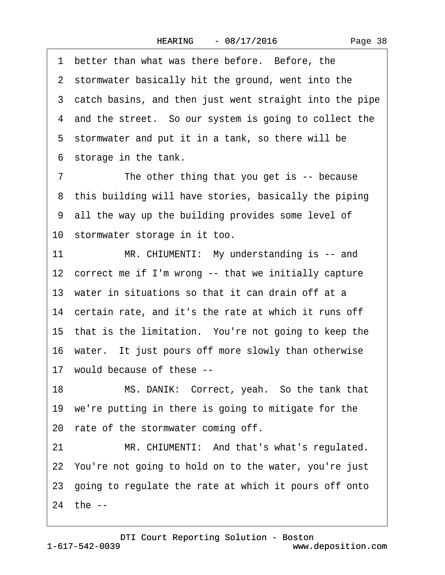<span id="page-37-0"></span>1 better than what was there before. Before, the 2 stormwater basically hit the ground, went into the 3 catch basins, and then just went straight into the pipe 4 and the street. So our system is going to collect the 5 stormwater and put it in a tank, so there will be 6 storage in the tank.

7 The other thing that you get is -- because 8 this building will have stories, basically the piping ·9· all the way up the building provides some level of 10 stormwater storage in it too.

11 MR. CHIUMENTI: My understanding is -- and 12 correct me if I'm wrong -- that we initially capture 13 water in situations so that it can drain off at a 14 certain rate, and it's the rate at which it runs off 15 that is the limitation. You're not going to keep the 16 water. It just pours off more slowly than otherwise 17· would because of these -- 18 MS. DANIK: Correct, yeah. So the tank that 19 we're putting in there is going to mitigate for the 20 rate of the stormwater coming off. 21 MR. CHIUMENTI: And that's what's regulated.

22· You're not going to hold on to the water, you're just 23· going to regulate the rate at which it pours off onto

24 the --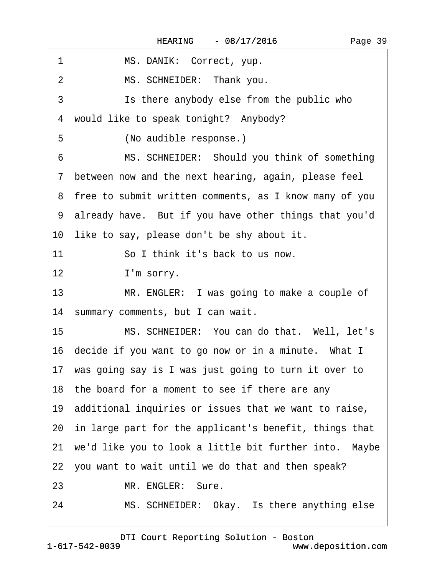<span id="page-38-0"></span>

| 1<br>MS. DANIK: Correct, yup.                             |
|-----------------------------------------------------------|
| MS. SCHNEIDER: Thank you.<br>$\overline{2}$               |
| 3<br>Is there anybody else from the public who            |
| would like to speak tonight? Anybody?<br>4                |
| 5<br>(No audible response.)                               |
| MS. SCHNEIDER: Should you think of something<br>6         |
| 7 between now and the next hearing, again, please feel    |
| 8 free to submit written comments, as I know many of you  |
| 9 already have. But if you have other things that you'd   |
| 10 like to say, please don't be shy about it.             |
| 11<br>So I think it's back to us now.                     |
| I'm sorry.<br>$12 \,$                                     |
| MR. ENGLER: I was going to make a couple of<br>13         |
| 14 summary comments, but I can wait.                      |
| 15<br>MS. SCHNEIDER: You can do that. Well, let's         |
| 16 decide if you want to go now or in a minute. What I    |
| 17 was going say is I was just going to turn it over to   |
| 18 the board for a moment to see if there are any         |
| 19 additional inquiries or issues that we want to raise,  |
| 20 in large part for the applicant's benefit, things that |
| 21 we'd like you to look a little bit further into. Maybe |
| 22 you want to wait until we do that and then speak?      |
| 23<br>MR. ENGLER: Sure.                                   |
| MS. SCHNEIDER: Okay. Is there anything else<br>24         |
|                                                           |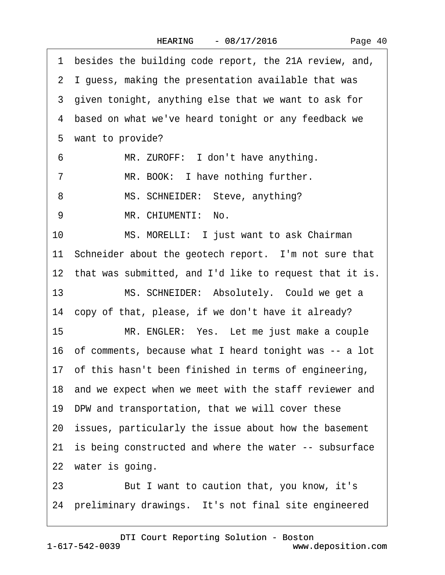<span id="page-39-0"></span>1 besides the building code report, the 21A review, and, ·2· I guess, making the presentation available that was 3 given tonight, anything else that we want to ask for 4 based on what we've heard tonight or any feedback we 5 want to provide? 6 MR. ZUROFF: I don't have anything. 7 MR. BOOK: I have nothing further. 8 MS. SCHNEIDER: Steve, anything? 9 MR. CHIUMENTI: No. 10 MS. MORELLI: I just want to ask Chairman 11 Schneider about the geotech report. I'm not sure that 12 that was submitted, and I'd like to request that it is. 13 MS. SCHNEIDER: Absolutely. Could we get a 14 copy of that, please, if we don't have it already? 15 MR. ENGLER: Yes. Let me just make a couple 16· of comments, because what I heard tonight was -- a lot 17 of this hasn't been finished in terms of engineering, 18 and we expect when we meet with the staff reviewer and 19· DPW and transportation, that we will cover these 20· issues, particularly the issue about how the basement 21 is being constructed and where the water -- subsurface 22 water is going. 23 But I want to caution that, you know, it's 24 preliminary drawings. It's not final site engineered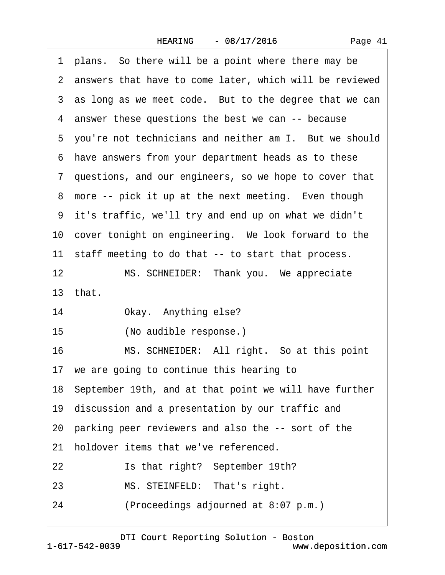|  | Page 41 |
|--|---------|
|--|---------|

<span id="page-40-0"></span>

| 1 plans. So there will be a point where there may be       |  |  |  |  |  |
|------------------------------------------------------------|--|--|--|--|--|
| 2 answers that have to come later, which will be reviewed  |  |  |  |  |  |
| 3 as long as we meet code. But to the degree that we can   |  |  |  |  |  |
| 4 answer these questions the best we can -- because        |  |  |  |  |  |
| 5 you're not technicians and neither am I. But we should   |  |  |  |  |  |
| 6 have answers from your department heads as to these      |  |  |  |  |  |
| 7 questions, and our engineers, so we hope to cover that   |  |  |  |  |  |
| 8 more -- pick it up at the next meeting. Even though      |  |  |  |  |  |
| 9 it's traffic, we'll try and end up on what we didn't     |  |  |  |  |  |
| 10 cover tonight on engineering. We look forward to the    |  |  |  |  |  |
| 11 staff meeting to do that -- to start that process.      |  |  |  |  |  |
| 12 <sub>2</sub><br>MS. SCHNEIDER: Thank you. We appreciate |  |  |  |  |  |
| 13 that.                                                   |  |  |  |  |  |
| 14<br>Okay. Anything else?                                 |  |  |  |  |  |
| 15<br>(No audible response.)                               |  |  |  |  |  |
| MS. SCHNEIDER: All right. So at this point<br>16           |  |  |  |  |  |
| 17 we are going to continue this hearing to                |  |  |  |  |  |
| 18 September 19th, and at that point we will have further  |  |  |  |  |  |
| 19 discussion and a presentation by our traffic and        |  |  |  |  |  |
| 20 parking peer reviewers and also the -- sort of the      |  |  |  |  |  |
| holdover items that we've referenced.<br>21                |  |  |  |  |  |
| Is that right? September 19th?<br>22                       |  |  |  |  |  |
| MS. STEINFELD: That's right.<br>23                         |  |  |  |  |  |
| (Proceedings adjourned at 8:07 p.m.)<br>24                 |  |  |  |  |  |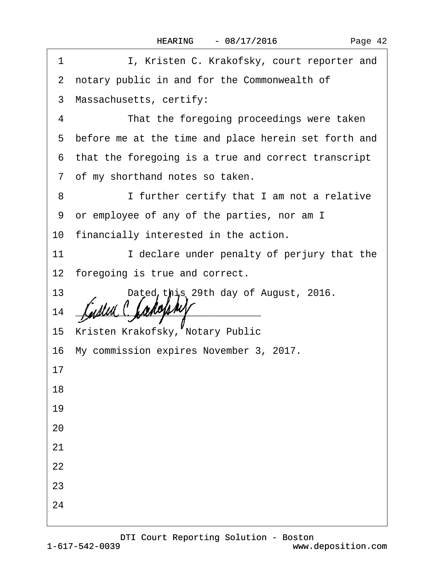| 1  | I, Kristen C. Krakofsky, court reporter and                 |
|----|-------------------------------------------------------------|
|    | 2 notary public in and for the Commonwealth of              |
|    | 3 Massachusetts, certify:                                   |
| 4  | That the foregoing proceedings were taken                   |
|    | 5 before me at the time and place herein set forth and      |
|    | 6 that the foregoing is a true and correct transcript       |
|    | 7 of my shorthand notes so taken.                           |
| 8  | I further certify that I am not a relative                  |
|    | 9 or employee of any of the parties, nor am I               |
|    | 10 financially interested in the action.                    |
| 11 | I declare under penalty of perjury that the                 |
|    | 12 foregoing is true and correct.                           |
| 13 | Dated this 29th day of August, 2016.                        |
| 14 | <u> 2000 - Jan Barat, martin da basar da basar da basar</u> |
|    | 15 Kristen Krakofsky, Notary Public                         |
|    | 16 My commission expires November 3, 2017.                  |
| 17 |                                                             |
| 18 |                                                             |
| 19 |                                                             |
| 20 |                                                             |
| 21 |                                                             |
| 22 |                                                             |
| 23 |                                                             |
| 24 |                                                             |
|    |                                                             |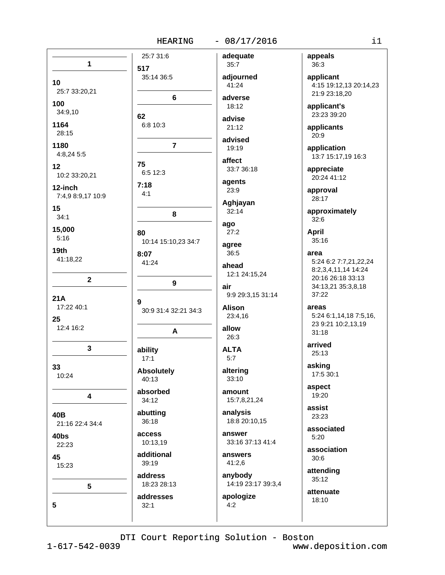#### $-08/17/2016$

 $\overline{1}$ 517  $10$ 25:7 33:20,21 100 34:9,10 62 1164 28:15 1180  $4:8.245:5$ 75  $12$ 10:2 33:20,21  $7:18$ 12-inch  $4:1$ 7:4,9 8:9,17 10:9 15  $34:1$ 15.000 80  $5:16$  $19<sub>th</sub>$  $8:07$ 41:18,22 41:24  $\overline{2}$  $21A$  $\mathbf Q$ 17:22 40:1 25 12:4 16:2 3 ability  $17:1$ 33 10:24 40:13 4 34:12 40<sub>B</sub> 36:18 21:16 22:4 34:4 **access**  $40<sub>bs</sub>$ 22:23 45 39:19  $15:23$ 5 addresses 5  $32.1$ 

25:7 31:6 adequate 35:14 36:5 6 6:8 10:3  $\overline{7}$ 6:5 12:3 8 10:14 15:10.23 34:7  $9$ 30:9 31:4 32:21 34:3  $\overline{A}$ **Absolutely** absorbed abutting 10:13,19 additional address 18:23 28:13

 $35:7$ adjourned  $41:24$ adverse 18:12 advise  $21:12$ advised 19:19 affect 33:7 36:18 agents 23:9 Aghjayan  $32:14$ ago  $27:2$ agree  $36:5$ ahead 12:1 24:15,24 air 9:9 29:3,15 31:14 **Alison** 23:4,16 allow  $26:3$ **ALTA**  $5:7$ altering  $33:10$ amount 15:7,8,21,24 analysis 18:8 20:10,15

answer 33:16 37:13 41:4

answers  $41:2,6$ 

 $4:2$ 

anybody 14:19 23:17 39:3,4 apologize

appeals 36:3

applicant 4:15 19:12,13 20:14,23 21:9 23:18,20

applicant's 23:23 39:20

applicants  $20:9$ 

application 13:7 15:17,19 16:3

appreciate 20:24 41:12

approval 28:17

approximately  $32:6$ 

April 35:16

area 5:24 6:2 7:7,21,22,24 8:2,3,4,11,14 14:24 20:16 26:18 33:13 34:13,21 35:3,8,18 37:22

areas 5:24 6:1,14,18 7:5,16, 23 9:21 10:2,13,19  $31:18$ 

arrived  $25:13$ 

asking 17:5 30:1

aspect 19:20

assist 23:23

associated  $5:20$ 

association  $30:6$ 

attending  $35:12$ 

> attenuate 18:10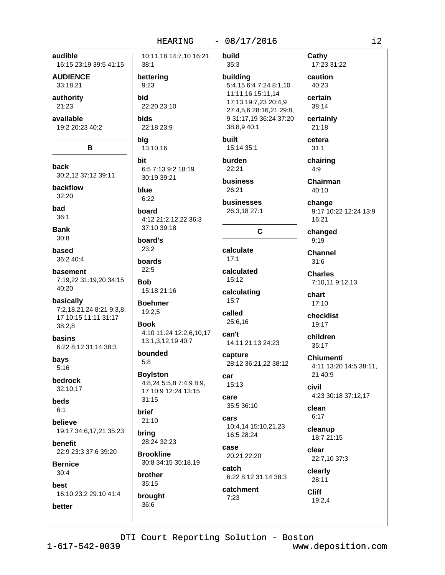audible

**AUDIENCE** 

33:18.21

authority

available

19:2 20:23 40:2

B

30:2,12 37:12 39:11

21:23

back

backflow

32:20

bad

 $36:1$ 

**Bank** 

 $30:8$ 

based

36:2 40:4

basement

40:20

basically

 $38:2.8$ 

**hasins** 

bays

 $5:16$ 

beds

 $6:1$ 

**believe** 

benefit

**Bernice** 

 $30:4$ 

best

better

bedrock

32:10,17

7:19,22 31:19,20 34:15

7:2,18,21,24 8:21 9:3,8,

17 10:15 11:11 31:17

6:22 8:12 31:14 38:3

19:17 34:6,17,21 35:23

22:9 23:3 37:6 39:20

16:10 23:2 29:10 41:4

16:15 23:19 39:5 41:15

### $-08/17/2016$

build 10:11,18 14:7,10 16:21 Cathy  $38:1$  $35:3$ caution bettering building 40:23  $9:23$ 5:4,15 6:4 7:24 8:1,10 11:11,16 15:11,14 **bid** certain 17:13 19:7,23 20:4,9 22:20 23:10 38:14 27:4,5,6 28:16,21 29:8, **bids** 9 31:17,19 36:24 37:20 certainly 22:18 23:9 38:8.9 40:1  $21:18$ big built cetera 15:14 35:1 13:10,16  $31:1$ burden bit chairing 6:5 7:13 9:2 18:19 22:21  $4:9$ 30:19 39:21 **business** blue 26:21  $40:10$  $6:22$ **businesses** change board 26:3,18 27:1 4:12 21:2,12,22 36:3  $16.21$ 37:10 39:18  $\mathbf c$ changed board's  $9:19$  $23:2$ calculate **Channel**  $17:1$ boards  $31:6$  $22:5$ calculated **Charles** 15:12 **Bob** 15:18 21:16 calculating chart  $15:7$ **Boehmer**  $17:10$ 19:2,5 called checklist 25:6,16 **Book** 19:17 4:10 11:24 12:2,6,10,17 can't children 13:1,3,12,19 40:7 14:11 21:13 24:23  $35:17$ bounded capture  $5:8$ 28:12 36:21,22 38:12 **Boylston** 21 40:9 car 4:8,24 5:5,8 7:4,9 8:9,  $15:13$ civil 17 10:9 12:24 13:15 care  $31:15$ 35:5 36:10 clean **brief**  $6:17$ cars  $21:10$ 10:4,14 15:10,21,23 cleanup brina 16:5 28:24 28.24.32.23 CASA clear **Brookline** 20:21 22:20 30:8 34:15 35:18,19 catch clearly brother 6:22 8:12 31:14 38:3 28:11  $35:15$ catchment Cliff brought  $7:23$ 19:2,4 36:6

17:23 31:22 Chairman 9:17 10:22 12:24 13:9 7:10,11 9:12,13 **Chiumenti** 4:11 13:20 14:5 38:11. 4:23 30:18 37:12,17 18:7 21:15 22:7,10 37:3

 $i2$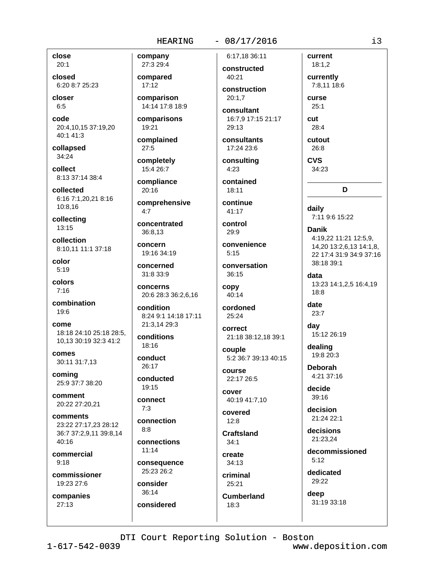# $-08/17/2016$ 6:17.18 36:11

close  $20:1$ 

closed 6:20 8:7 25:23

closer  $6:5$ 

code 20:4,10,15 37:19,20 40:1 41:3

collapsed 34:24

collect 8:13 37:14 38:4

collected 6:16 7:1,20,21 8:16 10:8,16

collecting 13:15

collection 8:10.11 11:1 37:18

color  $5:19$ 

colors  $7:16$ 

combination 19:6

come 18:18 24:10 25:18 28:5. 10,13 30:19 32:3 41:2

comes 30:11 31:7,13

coming 25:9 37:7 38:20

comment 20:22 27:20,21

comments 23:22 27:17.23 28:12 36:7 37:2.9.11 39:8.14  $40.16$ 

commercial  $9:18$ 

commissioner 19:23 27:6

companies  $27:13$ 

27:3 29:4 compared  $17:12$ 

company

comparison 14:14 17:8 18:9

comparisons 19:21

complained  $27:5$ completely

15:4 26:7

compliance 20:16

comprehensive

 $4.7$ 

concentrated 36:8.13

concern 19:16 34:19

concerned 31:8 33:9

concerns 20:6 28:3 36:2,6,16

condition 8:24 9:1 14:18 17:11 21:3.14 29:3

conditions 18:16

conduct 26:17

conducted 19:15

connect  $7:3$ 

connection

 $8:8$ connections

 $11:14$ consequence

25:23 26:2 consider

 $36:14$ considered constructed 40:21

construction  $20:1.7$ consultant

16:7.9 17:15 21:17 29:13

consultants 17:24 23:6

consultina  $4:23$ contained

18:11

continue  $41:17$ 

control  $29:9$ 

convenience  $5:15$ 

conversation 36:15

copy  $40:14$ 

> cordoned 25:24

correct

21:18 38:12,18 39:1 couple

5:2 36:7 39:13 40:15 course 22:17 26:5

cover 40:19 41:7,10

covered  $12.8$ 

**Craftsland**  $34:1$ 

create 34:13

criminal 25:21

**Cumberland** 

 $18:3$ 

curse  $25:1$ cut 28:4 cutout

current

 $18:1,2$ 

currently

7:8.11 18:6

26:8 **CVS** 

34:23

D

daily 7:11 9:6 15:22

**Danik** 4:19,22 11:21 12:5,9, 14,20 13:2,6,13 14:1,8, 22 17:4 31:9 34:9 37:16 38:18 39:1

data 13:23 14:1,2,5 16:4,19  $18:8$ 

date 23:7

dav 15:12 26:19

dealing 19:8 20:3

**Deborah** 4:21 37:16

decide  $39:16$ 

decision 21:24 22:1

decisions 21:23.24

decommissioned  $5:12$ 

dedicated 29:22

deep 31:19 33:18

DTI Court Reporting Solution - Boston

 $1 - 617 - 542 - 0039$ 

www.deposition.com

i3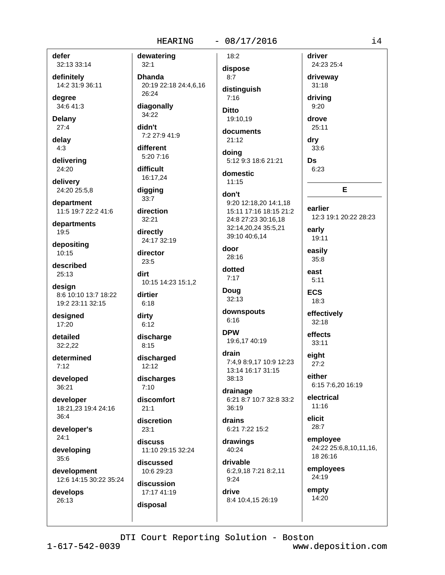#### $-08/17/2016$

defer

32:13 33:14 definitely 14:2 31:9 36:11

dearee 34:6 41:3

**Delany** 

 $27:4$ 

delay  $4:3$ 

delivering 24:20

delivery 24:20 25:5,8

department 11:5 19:7 22:2 41:6

departments 19:5

depositing  $10:15$ 

described 25:13

design 8:6 10:10 13:7 18:22 19:2 23:11 32:15

designed 17:20

detailed 32:2.22

determined  $7:12$ 

developed 36:21

developer 18:21,23 19:4 24:16  $36:4$ 

developer's  $24:1$ 

developing 35:6

development 12:6 14:15 30:22 35:24

develops 26:13

dewatering  $32:1$ **Dhanda** 20:19 22:18 24:4.6.16 26:24 diagonally 34:22 didn't 7:2 27:9 41:9 different 5:20 7:16 difficult 16:17.24 digging  $33:7$ direction  $32:21$ directly 24:17 32:19 door director 23:5 dirt 10:15 14:23 15:1,2 dirtier  $6:18$ dirty  $6:12$ **DPW** discharge  $8:15$ discharged  $12:12$ discharges  $7:10$ discomfort  $21:1$ discretion  $23:1$ discuss 11:10 29:15 32:24 discussed 10:6 29:23 discussion 17:17 41:19 drive disposal

 $18:2$ dispose  $8:7$ distinguish  $7:16$ **Ditto** 19:10.19 documents  $21:12$ doing 5:12 9:3 18:6 21:21 domestic  $11:15$ don't 9:20 12:18.20 14:1.18 15:11 17:16 18:15 21:2 24:8 27:23 30:16.18 32:14,20,24 35:5,21 39:10 40:6,14  $28:16$ dotted  $7:17$ **Doug** 32:13 downspouts

 $6:16$ 

19:6,17 40:19 drain 7:4,9 8:9,17 10:9 12:23

13:14 16:17 31:15 38:13

drainage 6:21 8:7 10:7 32:8 33:2 36:19

drains 6:21 7:22 15:2

drawings 40:24

drivable 6:2,9,18 7:21 8:2,11  $9:24$ 

8:4 10:4,15 26:19

driver 24:23 25:4 driveway  $31:18$ drivina  $9:20$ drove 25:11 dry 33:6

**Ds** 

 $6:23$ E

earlier 12:3 19:1 20:22 28:23 early 19:11 easily  $35:8$ 

 $5:11$ **ECS**  $18:3$ 

east

effectively  $32:18$ effects

 $33:11$ 

eight  $27:2$ 

either 6:15 7:6.20 16:19

electrical  $11:16$ 

elicit 28:7

employee 24:22 25:6,8,10,11,16, 18 26:16

employees 24:19

empty 14:20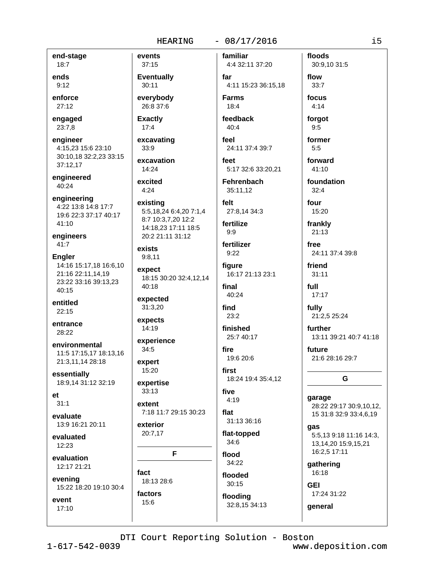### $-08/17/2016$

familiar

end-stage  $18:7$ 

ends  $9:12$ 

enforce  $27:12$ 

engaged 23:7,8

engineer 4:15,23 15:6 23:10 30:10,18 32:2,23 33:15 37:12,17

engineered 40:24

engineering 4:22 13:8 14:8 17:7 19:6 22:3 37:17 40:17 41:10

engineers 41:7

**Engler** 14:16 15:17,18 16:6,10 21:16 22:11,14,19 23:22 33:16 39:13,23 40:15

entitled  $22:15$ 

entrance 28:22

environmental 11:5 17:15,17 18:13,16 21:3,11,14 28:18

essentially 18:9,14 31:12 32:19

 $et$  $31:1$ 

evaluate 13:9 16:21 20:11

evaluated 12:23

evaluation 12:17 21:21

evening 15:22 18:20 19:10 30:4

event  $17:10$  events  $37:15$ **Eventually** 30:11 everybody 26:8 37:6 **Exactly** 

 $17:4$ 

excavating 33:9 excavation

14:24 excited  $4:24$ 

existing

5:5,18,24 6:4,20 7:1,4 8:7 10:3,7,20 12:2 14:18,23 17:11 18:5 20:2 21:11 31:12

exists  $9:8,11$ 

expect 18:15 30:20 32:4.12.14  $40:18$ 

expected 31:3,20

expects  $14:19$ 

experience  $34:5$ 

expert 15:20

expertise  $33:13$ 

extent

7:18 11:7 29:15 30:23 exterior

20:7.17

F

fact 18:13 28:6

factors 15:6

far 4:11 15:23 36:15.18 **Farms** 18:4

4:4 32:11 37:20

feedback  $40:4$ 

feel 24:11 37:4 39:7

feet 5:17 32:6 33:20.21

Fehrenbach 35:11,12

felt 27:8.14 34:3

fertilize  $9:9$ 

fertilizer  $9:22$ 

figure 16:17 21:13 23:1

final 40:24

find  $23:2$ 

finished 25:7 40:17

fire 19:6 20:6

first 18:24 19:4 35:4,12

five 4:19

flat 31:13 36:16

flat-topped  $34:6$ 

flood 34:22 flooded

 $30:15$ floodina

32:8,15 34:13

DTI Court Reporting Solution - Boston www.deposition.com

30:9,10 31:5

forgot  $9:5$ former

floods

flow

 $33:7$ 

focus

 $4:14$ 

 $5:5$ forward 41:10

foundation  $32:4$ 

four 15:20

frankly 21:13

free 24:11 37:4 39:8

friend  $31:11$ 

full  $17:17$ 

fully 21:2,5 25:24

further 13:11 39:21 40:7 41:18

future 21:6 28:16 29:7

## G

garage 28:22 29:17 30:9,10,12, 15 31:8 32:9 33:4,6,19

qas 5:5,13 9:18 11:16 14:3, 13, 14, 20 15: 9, 15, 21 16:2,5 17:11

qathering 16:18

**GEI** 17:24 31:22

general

 $\frac{1}{1}$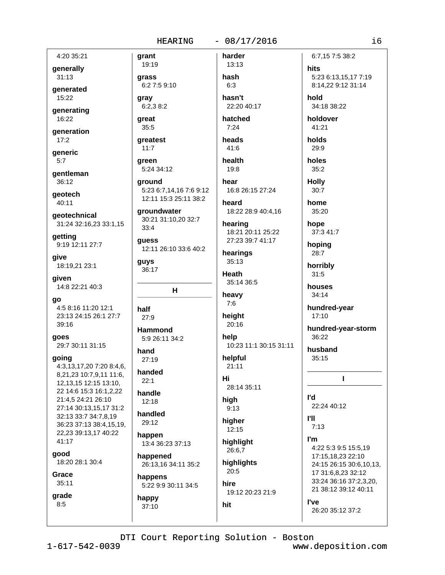### $-08/17/2016$

4:20 35:21

generally  $31:13$ 

generated 15:22

generating 16:22

generation  $17:2$ 

generic

 $5:7$ 

gentleman  $36:12$ 

geotech 40:11

geotechnical 31:24 32:16,23 33:1,15

getting 9:19 12:11 27:7

give 18:19,21 23:1

given 14:8 22:21 40:3

qo 4:5 8:16 11:20 12:1 23:13 24:15 26:1 27:7 39:16

qoes 29:7 30:11 31:15

going

4:3,13,17,20 7:20 8:4,6, 8,21,23 10:7,9,11 11:6, 12, 13, 15 12: 15 13: 10, 22 14:6 15:3 16:1,2,22 21:4,5 24:21 26:10 27:14 30:13,15,17 31:2 32:13 33:7 34:7,8,19 36:23 37:13 38:4,15,19, 22,23 39:13,17 40:22 41:17 good

18:20 28:1 30:4

Grace 35:11

grade  $8:5$ 

19:19 grass 6:2 7:5 9:10

grant

qray  $6:2,38:2$ 

great  $35:5$ 

greatest  $11:7$ 

areen 5:24 34:12

around 5:23 6:7,14,16 7:6 9:12 12:11 15:3 25:11 38:2

groundwater 30:21 31:10,20 32:7  $33:4$ 

guess 12:11 26:10 33:6 40:2

guys 36:17

 $H$ 

half  $27.9$ 

**Hammond** 5:9 26:11 34:2

hand 27:19

handed  $22.1$ 

handle  $12:18$ 

handled 29:12

happen 13:4 36:23 37:13

happened 26:13,16 34:11 35:2

happens 5:22 9:9 30:11 34:5

happy 37:10

13:13 hash  $6:3$ hasn't

harder

22:20 40:17 hatched

 $7:24$ 

heads 41:6

health  $19:8$ 

hear 16:8 26:15 27:24

heard 18:22 28:9 40:4,16

hearing 18:21 20:11 25:22 27:23 39:7 41:17

hearings 35:13

Heath 35:14 36:5

heavy  $7:6$ 

height 20:16

help 10:23 11:1 30:15 31:11

helpful  $21:11$ 

## Hi 28:14 35:11

high

 $9:13$ higher  $12:15$ 

highlight 26:6,7

highlights  $20:5$ hire

19:12 20:23 21:9

hold 34:18 38:22 holdover  $41:21$ holds 29:9 holes  $35:2$ **Holly**  $30:7$ 

hite

6:7.15 7:5 38:2

5:23 6:13,15,17 7:19

8:14.22 9:12 31:14

home 35:20

hope 37:3 41:7

hoping  $28:7$ 

horribly

 $31:5$ houses

 $34:14$ 

hundred-year 17:10

hundred-year-storm 36:22

 $\mathbf{I}$ 

husband  $35:15$ 

l'd 22:24 40:12 **PII** 

 $7:13$ I'm

4:22 5:3 9:5 15:5,19 17:15,18,23 22:10 24:15 26:15 30:6,10,13, 17 31:6,8,23 32:12 33:24 36:16 37:2.3.20. 21 38:12 39:12 40:11

l've 26:20 35:12 37:2

DTI Court Reporting Solution - Boston

hit

 $1 - 617 - 542 - 0039$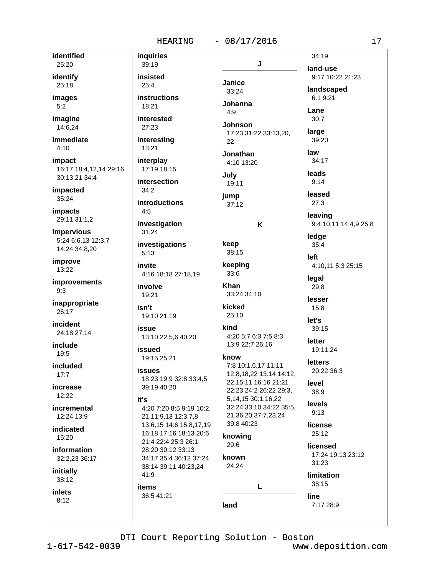#### $-08/17/2016$

identified 25:20

identify 25:18

images  $5:2$ 

imagine 14:6,24

immediate  $4:10$ 

impact 16:17 18:4.12.14 29:16 30:13.21 34:4

impacted 35:24

**impacts** 29:11 31:1,2

impervious 5:24 6:6,13 12:3,7 14:24 34:8.20

improve 13:22

**improvements**  $9:3$ 

inappropriate 26:17

incident 24:18 27:14

include 19:5

included  $17.7$ 

increase  $12:22$ 

incremental 12:24 13:9

indicated  $15:20$ 

information 32:2,23 36:17

initially 38:12

**inlets**  $8:12$ 

inquiries 39:19 insisted  $25:4$ instructions 18:21 interested 27:23 interesting 13:21 interplay 17:19 18:15 intersection  $34:2$ **introductions**  $4:5$ investigation 31:24 investigations  $5:13$ invite 4:16 18:18 27:18,19 involve 19:21 isn't 19:10 21:19 **İSSUA** 13:10 22:5,6 40:20 issued 19:15 25:21 **issues** 18:23 19:9 32:8 33:4,5 39:19 40:20 it's 4:20 7:20 8:5 9:19 10:2, 21 11:9,13 12:3,7,8 13:6.15 14:6 15:8.17.19

16:18 17:16 18:13 20:6

34:17 35:4 36:12 37:24

38:14 39:11 40:23,24

21:4 22:4 25:3 26:1

28:20 30:12 33:13

41:9

**items** 

36:5 41:21

34:19 J land-use Janice 33:24  $6:19:21$ **Johanna**  $4.9$ Lane  $30:7$ **Johnson** large 17:23 31:22 33:13,20, 39:20 22 law Jonathan 34:17 4:10 13:20 leads July  $9:14$ 19:11 leased jump  $27:3$  $37:12$ leaving K ledge keep  $35:4$ 38:15 left keeping  $33:6$ legal **Khan** 29:8 33:24 34:10 lesser kicked 15:8  $25:10$ let's kind 39:15 4:20 5:7 6:3 7:5 8:3 letter 13:9 22:7 26:16 19:11,24 know **letters** 7:8 10:1,6,17 11:11 20:22 36:3 12:8.18.22 13:14 14:12. 22 15:11 16:16 21:21 level 22:23 24:2 26:22 29:3, 38:9 5,14,15 30:1,16,22 levels 32:24 33:10 34:22 35:5,  $9:13$ 21 36:20 37:7,23,24 39:8 40:23 license  $25:12$ knowing 29:6 licensed known 31:23 24:24 38:15 L line

9:17 10:22 21:23 landscaped

9:4 10:11 14:4,9 25:8

4:10,11 5:3 25:15

17:24 19:13 23:12

**limitation** 

7:17 28:9

DTI Court Reporting Solution - Boston

land

 $1 - 617 - 542 - 0039$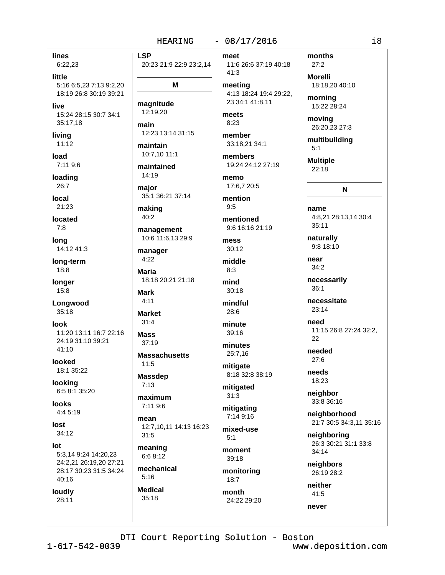**LSP** 20:23 21:9 22:9 23:2,14

M

**lines** 

little

live

living

load

 $11:12$ 

7:11 9:6

loading

26:7

local

21:23

located

14:12 41:3

long-term

Longwood

11:20 13:11 16:7 22:16

24:19 31:10 39:21

18:8

longer

 $15:8$ 

 $35:18$ 

 $41:10$ 

looked

looking

**looks** 

lost

 $Int$ 

 $34:12$ 

 $40:16$ 

loudly

28:11

 $4:45:19$ 

18:1 35:22

6:5 8:1 35:20

look

 $7:8$ 

long

 $6:22,23$ 

35:17.18

5:16 6:5.23 7:13 9:2.20

18:19 26:8 30:19 39:21

15:24 28:15 30:7 34:1

magnitude 12:19,20

main 12:23 13:14 31:15

maintain 10:7,10 11:1

maintained  $14:19$ 

major 35:1 36:21 37:14

making  $40:2$ 

management 10:6 11:6,13 29:9

manager  $4:22$ 

**Maria** 18:18 20:21 21:18

**Mark**  $4:11$ 

**Market**  $31:4$ 

**Mass**  $37:19$ 

**Massachusetts**  $11:5$ 

**Massdep**  $7:13$ 

maximum 7:11 9:6

mean 12:7,10,11 14:13 16:23

 $31:5$ meaning

6:6 8:12 mechanical

 $5:16$ **Medical** 

 $35:18$ 

### $-08/17/2016$

meet 11:6 26:6 37:19 40:18 41:3 meeting

4:13 18:24 19:4 29:22. 23 34:1 41:8,11

meets  $8:23$ 

member 33:18,21 34:1

members 19:24 24:12 27:19

memo 17:6,7 20:5

mention  $9:5$ 

mentioned 9:6 16:16 21:19

mess  $30:12$ 

middle  $8:3$ 

 $30:18$ mindful

mind

28:6 minute

 $39.16$ minutes

25:7,16

mitigate 8:18 32:8 38:19

mitigated  $31:3$ 

mitigating  $7:149:16$ 

mixed-use  $5:1$ moment

39:18 monitoring

 $18:7$ month 24:22 29:20 months  $27:2$ **Morelli** 18:18.20 40:10

morning 15:22 28:24

moving

26:20,23 27:3 multibuilding  $5:1$ 

**Multiple**  $22:18$ 

 $\mathbf N$ 

name 4:8.21 28:13.14 30:4  $35:11$ 

naturally 9:8 18:10

near  $34:2$ 

necessarily  $36:1$ 

necessitate  $23:14$ 

need 11:15 26:8 27:24 32:2. 22

needed  $27:6$ 

needs 18:23

neighbor 33:8 36:16

neighborhood 21:7 30:5 34:3,11 35:16

neighboring 26:3 30:21 31:1 33:8 34:14

neighbors 26:19 28:2

neither  $41:5$ never

DTI Court Reporting Solution - Boston

 $1 - 617 - 542 - 0039$ 

5:3,14 9:24 14:20,23

24:2,21 26:19,20 27:21

28:17 30:23 31:5 34:24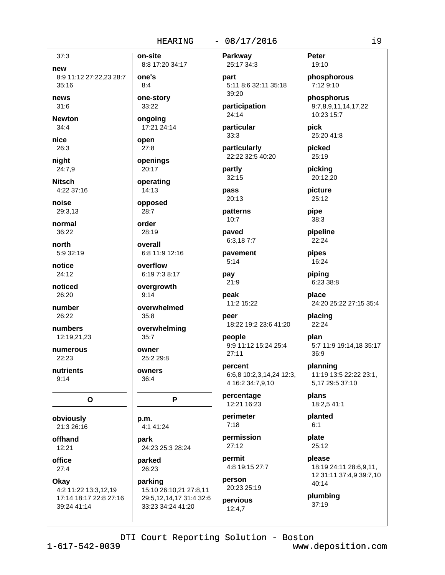### $-08/17/2016$

new 8:9 11:12 27:22,23 28:7  $35:16$ 

news

 $37:3$ 

 $31:6$ **Newton** 

 $34:4$ nice

26:3 niaht

24:7.9 **Nitsch** 

4:22 37:16

noise 29:3.13

normal 36:22

north 5:9 32:19

notice 24:12

noticed 26:20

number 26:22

numbers 12:19,21,23

numerous 22:23

nutrients  $9:14$ 

 $\mathbf{o}$ 

obviously 21:3 26:16

offhand  $12:21$ 

office  $27:4$ 

Okay 4:2 11:22 13:3,12,19 17:14 18:17 22:8 27:16 39:24 41:14

8:8 17:20 34:17 one's  $8:4$ 

on-site

one-story 33:22

17:21 24:14 open  $27:8$ 

ongoing

openings 20:17

operating

14:13 opposed

 $28:7$ 

order 28:19

overall 6:8 11:9 12:16

overflow 6:19 7:3 8:17

overgrowth  $9:14$ 

overwhelmed  $35:8$ 

overwhelming  $35:7$ 

owner 25:2 29:8

owners  $36:4$ 

P

p.m. 4:1 41:24

park 24:23 25:3 28:24

parked 26:23

parking 15:10 26:10,21 27:8,11 29:5,12,14,17 31:4 32:6

33:23 34:24 41:20

25:17 34:3 part 5:11 8:6 32:11 35:18  $39:20$ 

Parkway

participation 24:14

particular  $33:3$ 

particularly 22:22 32:5 40:20

partly  $32:15$ 

pass 20:13

patterns  $10.7$ 

paved 6:3,187:7

pavement  $5:14$ 

pay  $21:9$ 

peak 11:2 15:22

peer 18:22 19:2 23:6 41:20

people 9:9 11:12 15:24 25:4  $27:11$ 

percent 6:6,8 10:2,3,14,24 12:3, 4 16:2 34:7,9,10

percentage 12:21 16:23

perimeter  $7:18$ 

permission  $27:12$ 

permit 4:8 19:15 27:7

person 20:23 25:19 pervious

 $12:4.7$ 

Peter 19:10

phosphorous 7:12 9:10

phosphorus 9:7,8,9,11,14,17,22 10:23 15:7

pick 25:20 41:8

picked 25:19

picking 20:12.20

picture 25:12

pipe  $38:3$ 

pipeline  $22:24$ 

pipes 16:24

piping 6:23 38:8

place 24:20 25:22 27:15 35:4

placing 22:24

> plan 5:7 11:9 19:14,18 35:17 36:9

planning 11:19 13:5 22:22 23:1, 5,17 29:5 37:10

plans 18:2,5 41:1

planted  $6:1$ 

plate  $25:12$ 

please 18:19 24:11 28:6,9,11, 12 31:11 37:4,9 39:7,10 40:14

plumbing  $37:19$ 

DTI Court Reporting Solution - Boston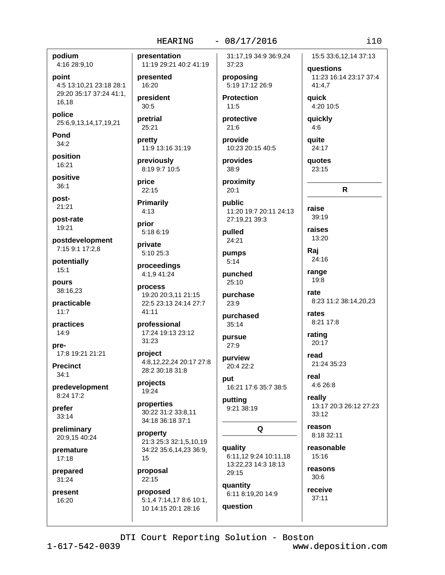#### $-08/17/2016$

podium 4:16 28:9,10

point 4:5 13:10,21 23:18 28:1

29:20 35:17 37:24 41:1, 16,18

police 25:6,9,13,14,17,19,21

Pond  $34:2$ 

position 16:21

positive  $36:1$ 

post- $21:21$ 

post-rate 19:21

postdevelopment 7:15 9:1 17:2,8

potentially  $15:1$ 

pours 38:16,23

practicable  $11:7$ 

practices  $14:9$ 

pre-17:8 19:21 21:21

**Precinct**  $34.1$ 

predevelopment 8:24 17:2

prefer  $33:14$ 

preliminary 20:9.15 40:24

premature  $17:18$ 

prepared  $31:24$ 

present 16:20

presentation 11:19 29:21 40:2 41:19 presented 16:20 president  $30:5$ pretrial 25:21 pretty 11:9 13:16 31:19

previously 8:19 9:7 10:5

price 22:15

**Primarily**  $4:13$ 

prior 5:18 6:19

private 5:10 25:3

proceedings 4:1,9 41:24

process 19:20 20:3,11 21:15 22:5 23:13 24:14 27:7  $41:11$ 

professional 17:24 19:13 23:12  $31:23$ 

project 4:8,12,22,24 20:17 27:8 28:2 30:18 31:8

projects 19:24

properties 30:22 31:2 33:8,11 34:18 36:18 37:1

property 21:3 25:3 32:1,5,10,19 34:22 35:6,14,23 36:9, 15

proposal  $22:15$ 

proposed 5:1,4 7:14,17 8:6 10:1, 10 14:15 20:1 28:16

31:17,19 34:9 36:9,24 37:23

proposing 5:19 17:12 26:9

**Protection**  $11:5$ 

protective  $21:6$ 

provide 10:23 20:15 40:5

provides 38:9

proximity  $20:1$ 

public 11:20 19:7 20:11 24:13 27:19,21 39:3

pulled 24:21

pumps  $5:14$ 

punched  $25:10$ purchase

 $23:9$ 

purchased  $35:14$ 

pursue  $27:9$ 

purview 20:4 22:2

nut 16:21 17:6 35:7 38:5

putting 9:21 38:19

Q

quality 6:11,12 9:24 10:11,18 13:22,23 14:3 18:13 29:15 quantity 6:11 8:19,20 14:9 question

15:5 33:6,12,14 37:13 questions 11:23 16:14 23:17 37:4 41:4.7

**auick** 4:20 10:5

quickly  $4:6$ 

quite 24:17

**auotes** 23:15

raise

R

39:19 raises 13:20 Raj

24:16 range 19:8

rate 8:23 11:2 38:14.20.23

rates 8:21 17:8

rating 20:17

read 21:24 35:23

real  $4:626:8$ 

really 13:17 20:3 26:12 27:23  $33:12$ 

reason 8:18 32:11

reasonable 15:16

reasons 30:6

receive  $37:11$ 

DTI Court Reporting Solution - Boston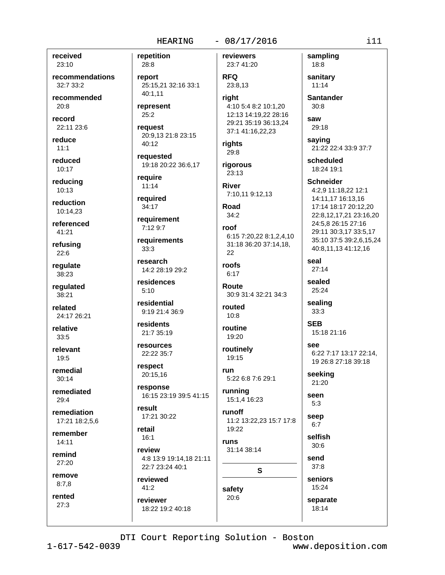$-08/17/2016$ 

received 23:10

recommendations  $32:733:2$ 

recommended  $20:8$ 

record 22:11 23:6

reduce  $11:1$ 

reduced 10:17

reducing 10:13

reduction 10:14.23

referenced  $41:21$ 

refusing  $22:6$ 

regulate 38:23

regulated 38:21

related 24:17 26:21

relative  $33:5$ 

relevant  $19:5$ 

remedial  $30.14$ 

remediated  $29:4$ 

remediation 17:21 18:2.5.6

remember  $14:11$ 

remind 27:20

remove  $8:7,8$ 

rented 27:3

repetition reviewers 28:8 23:7 41:20 **RFQ** report 25:15,21 32:16 33:1 23:8.13 40:1.11 riaht represent  $25:2$ request 20:9,13 21:8 23:15 40:12 requested 19:18 20:22 36:6,17 require  $11:14$ required 34:17 requirement 7:12 9:7 roof requirements  $33:3$ research roofs 14:2 28:19 29:2 residences  $5:10$ residential 9:19 21:4 36:9 residents 21:7 35:19 resources 22:22 35:7 respect 20:15.16 response 16:15 23:19 39:5 41:15 result 17:21 30:22 **runs** 

retail  $16:1$ review 4:8 13:9 19:14,18 21:11 22:7 23:24 40:1

reviewed  $41:2$ 

reviewer 18:22 19:2 40:18

4:10 5:4 8:2 10:1,20 12:13 14:19,22 28:16 29:21 35:19 36:13.24 37:1 41:16,22,23 rights  $29:8$ rigorous  $23:13$ **River** 7:10,11 9:12,13 Road  $34:2$ 

6:15 7:20,22 8:1,2,4,10 31:18 36:20 37:14,18, 22

 $6:17$ 

Route 30:9 31:4 32:21 34:3

routed  $10:8$ routine

19:20

routinely 19:15

run 5:22 6:8 7:6 29:1

running 15:1,4 16:23

runoff 11:2 13:22,23 15:7 17:8 19:22

S

31:14 38:14

**Santander**  $30:8$ 

saw  $29:18$ 

sampling

18:8

sanitary

 $11:14$ 

saying 21:22 22:4 33:9 37:7

scheduled 18:24 19:1

**Schneider** 4:2,9 11:18,22 12:1 14:11,17 16:13,16 17:14 18:17 20:12,20 22:8,12,17,21 23:16,20 24:5,8 26:15 27:16

29:11 30:3,17 33:5,17 35:10 37:5 39:2,6,15,24 40:8,11,13 41:12,16

seal  $27:14$ 

sealed 25:24

sealing

 $33:3$ 

**SEB** 15:18 21:16

see 6:22 7:17 13:17 22:14. 19 26:8 27:18 39:18

seeking 21:20

seen

 $5:3$ 

seep  $6:7$ 

selfish  $30:6$ 

send

 $37:8$ seniors

15:24 separate 18:14

DTI Court Reporting Solution - Boston

safety

 $20:6$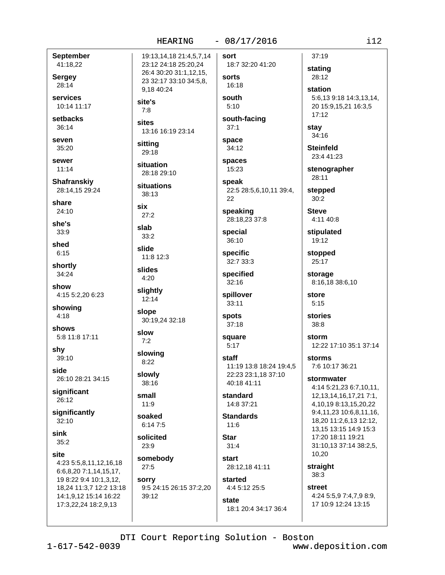#### $-08/17/2016$ HEARING

**September** 41:18,22

**Sergey** 28:14

services 10:14 11:17

setbacks  $36:14$ 

seven 35:20

sewer

 $11:14$ Shafranskiy

28:14,15 29:24

share  $24:10$ 

she's

 $33:9$ shed

 $6:15$ shortly

34:24

show 4:15 5:2,20 6:23

showing  $4:18$ 

shows 5:8 11:8 17:11

shy 39:10

side 26:10 28:21 34:15

significant 26:12

significantly  $32:10$ 

sink  $35:2$ 

site

4:23 5:5,8,11,12,16,18 6:6,8,20 7:1,14,15,17, 19 8:22 9:4 10:1,3,12, 18,24 11:3,7 12:2 13:18 14:1,9,12 15:14 16:22

17:3,22,24 18:2,9,13

19:13,14,18 21:4,5,7,14 23:12 24:18 25:20,24 26:4 30:20 31:1,12,15, 23 32:17 33:10 34:5.8. 9.18 40:24 site's  $7:8$ 

sites 13:16 16:19 23:14

sitting 29:18

situation 28:18 29:10

situations  $38:13$ 

six

 $27:2$ slab

 $33:2$ 

slide 11:8 12:3

slides  $4:20$ 

slightly  $12:14$ 

slope

30:19,24 32:18 slow

 $7:2$ slowing

 $8:22$ 

slowly 38:16

small

 $11:9$ soaked

 $6:147:5$ 

solicited  $23:9$ 

somebody  $27:5$ 

sorry 9:5 24:15 26:15 37:2,20 39:12

18:7 32:20 41:20 sorts 16:18

sort

south  $5:10$ 

south-facing  $37:1$ 

space 34:12

spaces 15:23

speak 22:5 28:5,6,10,11 39:4,

speaking 28:18,23 37:8

special 36:10

22

specific 32:7 33:3

specified  $32:16$ 

spillover 33:11

spots

 $37:18$ 

square  $5:17$ 

staff 11:19 13:8 18:24 19:4.5 22:23 23:1.18 37:10 40:18 41:11

standard 14:8 37:21

**Standards**  $11:6$ 

**Star**  $31:4$ 

start 28:12,18 41:11

started 4:4 5:12 25:5

state 18:1 20:4 34:17 36:4

 $37:19$ stating 28:12

> station 5:6.13 9:18 14:3.13.14. 20 15:9,15,21 16:3,5  $17:12$

stay 34:16

**Steinfeld** 23:4 41:23

stenographer 28:11

stepped  $30:2$ 

**Steve** 4:11 40:8

stipulated 19:12

stopped 25:17

storage 8:16,18 38:6,10

store  $5:15$ 

stories  $38:8$ 

storm 12:22 17:10 35:1 37:14

**storms** 7:6 10:17 36:21

stormwater

4:14 5:21,23 6:7,10,11, 12, 13, 14, 16, 17, 21 7: 1, 4, 10, 19 8: 13, 15, 20, 22 9:4,11,23 10:6,8,11,16, 18,20 11:2,6,13 12:12, 13.15 13:15 14:9 15:3 17:20 18:11 19:21 31:10,13 37:14 38:2,5, 10,20

straight 38:3

street 4:24 5:5,9 7:4,7,9 8:9,

17 10:9 12:24 13:15

DTI Court Reporting Solution - Boston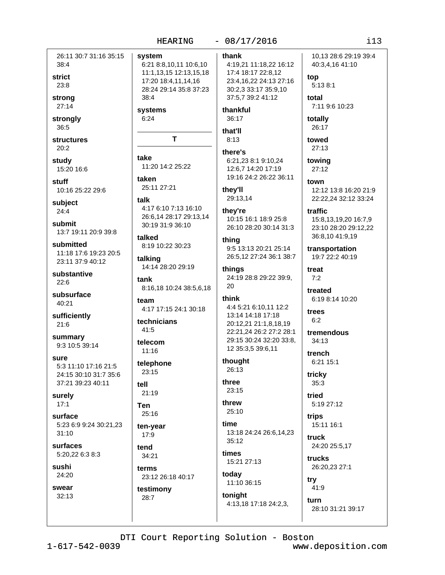26:11 30:7 31:16 35:15 system 38:4 strict  $23:8$ strona 27:14 strongly 36:5 **structures**  $20:2$ take study 15:20 16:6 taken stuff 10:16 25:22 29:6 talk subject  $24:4$ submit 13:7 19:11 20:9 39:8 submitted 11:18 17:6 19:23 20:5 23:11 37:9 40:12 substantive  $22:6$ subsurface 40:21 sufficiently  $21:6$ summary 9:3 10:5 39:14 sure 5:3 11:10 17:16 21:5 24:15 30:10 31:7 35:6 37:21 39:23 40:11 tell surely  $17:1$ **Ten** surface 5:23 6:9 9:24 30:21,23  $31:10$ **surfaces** 5:20,22 6:3 8:3 sushi 24:20 SWAAT  $32:13$ 

6:21 8:8,10,11 10:6,10 4:19,21 11:18,22 16:12 36:17 that'll T  $8:13$ thev'll they're 30:19 31:9 36:10 thina thinas 20 8:16,18 10:24 38:5,6,18 think 26:13 three 23:15 threw 25:10

17:4 18:17 22:8,12 23:4,16,22 24:13 27:16 30:2,3 33:17 35:9,10 37:5.7 39:2 41:12 thankful there's 6:21,23 8:1 9:10,24 12:6,7 14:20 17:19 19:16 24:2 26:22 36:11 29:13,14

10:15 16:1 18:9 25:8 26:10 28:20 30:14 31:3

9:5 13:13 20:21 25:14 26:5.12 27:24 36:1 38:7

24:19 28:8 29:22 39:9,

4:4 5:21 6:10.11 12:2 13:14 14:18 17:18 20:12,21 21:1,8,18,19 22:21.24 26:2 27:2 28:1 29:15 30:24 32:20 33:8, 12 35:3,5 39:6,11

thought

time

13:18 24:24 26:6,14,23  $35:12$ times

15:21 27:13 today

11:10 36:15 tonight 4:13,18 17:18 24:2,3,

10.13 28:6 29:19 39:4 40:3,4,16 41:10

top 5:13 8:1 total

7:11 9:6 10:23

totally 26:17

towed 27:13

towina

 $27:12$ town 12:12 13:8 16:20 21:9

22:22,24 32:12 33:24

traffic 15:8,13,19,20 16:7,9 23:10 28:20 29:12,22 36:8,10 41:9,19

transportation 19:7 22:2 40:19

treat  $7:2$ treated

6:19 8:14 10:20

trees  $6:2$ 

tremendous  $34:13$ 

trench 6:21 15:1

tricky  $35:3$ 

heint 5:19 27:12

trips 15:11 16:1

truck 24:20 25:5,17

trucks 26:20,23 27:1

try  $41.9$ 

turn 28:10 31:21 39:17

DTI Court Reporting Solution - Boston

#### $-08/17/2016$ HEARING

thank

11:1,13,15 12:13,15,18 17:20 18:4,11,14,16 28:24 29:14 35:8 37:23  $38:4$ 

systems  $6:24$ 

11:20 14:2 25:22

25:11 27:21

# 4:17 6:10 7:13 16:10 26:6,14 28:17 29:13,14

talked 8:19 10:22 30:23

talking 14:14 28:20 29:19

tank

team 4:17 17:15 24:1 30:18

technicians  $41:5$ 

telecom  $11:16$ 

telephone  $23:15$ 

23:12 26:18 40:17

testimony 28:7

 $25:16$ ten-year 17:9 tend 34:21 terms

 $21:19$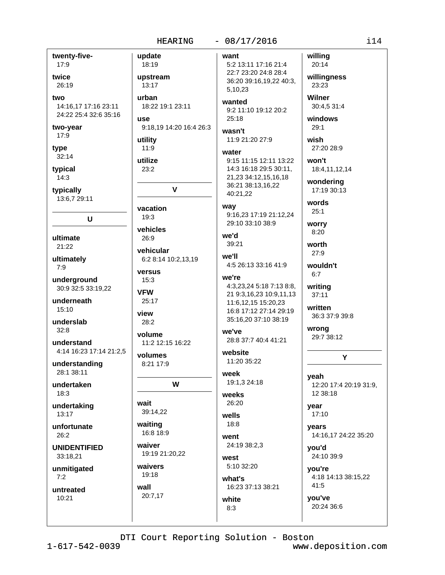#### $-08/17/2016$

twenty-fiveupdate 17:9 18:19 twice upstream 26:19 13:17 two urban 14:16,17 17:16 23:11 24:22 25:4 32:6 35:16 **USA** two-year 17:9 utility type  $11:9$  $32:14$ utilize typical  $23:2$  $14:3$ typically 13:6,7 29:11 vacation  $19:3$ U vehicles ultimate 26:9 21:22 vehicular ultimately  $7:9$ versus underground  $15:3$ 30:9 32:5 33:19,22 **VFW** underneath 25:17  $15:10$ view underslab 28:2  $32:8$ volume understand 4:14 16:23 17:14 21:2.5 volumes understanding 8:21 17:9 28:1 38:11 undertaken 18:3 wait undertaking 39:14,22 13:17 waiting unfortunate 16:8 18:9 26:2 waiver **UNIDENTIFIED** 33:18,21 waivers unmitigated 19:18  $7:2$ wall untreated 20:7,17 10:21

want 5:2 13:11 17:16 21:4 22:7 23:20 24:8 28:4 5.10.23 wanted 18:22 19:1 23:11 9:2 11:10 19:12 20:2  $25:18$ 9:18,19 14:20 16:4 26:3 wasn't 11:9 21:20 27:9 water 9:15 11:15 12:11 13:22 14:3 16:18 29:5 30:11, 21,23 34:12,15,16,18 36:21 38:13,16,22  $\mathbf v$ 40:21,22 way 9:16.23 17:19 21:12.24 29:10 33:10 38:9 we'd 39:21 we'll 6:2 8:14 10:2,13,19 4:5 26:13 33:16 41:9 we're 11:6,12,15 15:20,23 16:8 17:12 27:14 29:19 35:16,20 37:10 38:19 we've 28:8 37:7 40:4 41:21 11:2 12:15 16:22 website 11:20 35:22 week 19:1,3 24:18 W weeks 26:20 wells  $18:8$ went 24:19 38:2,3 19:19 21:20,22 west 5:10 32:20 what's 16:23 37:13 38:21 white

willing 20:14 willingness 36:20 39:16,19,22 40:3, 23:23 **Wilner** 30:4,5 31:4 windows  $29:1$ wish 27:20 28:9 won't 18:4,11,12,14 wondering 17:19 30:13 words  $25:1$ worry 8:20 worth  $27:9$ wouldn't  $6:7$ 4:3,23,24 5:18 7:13 8:8, writing 21 9:3,16,23 10:9,11,13  $37:11$ written wrong yeah 12 38:18 year  $17:10$ vears you'd vou're  $41:5$ you've

36:3 37:9 39:8 29:7 38:12 Υ 12:20 17:4 20:19 31:9. 14:16,17 24:22 35:20

24:10 39:9

4:18 14:13 38:15,22

20:24 36:6

DTI Court Reporting Solution - Boston

 $8:3$